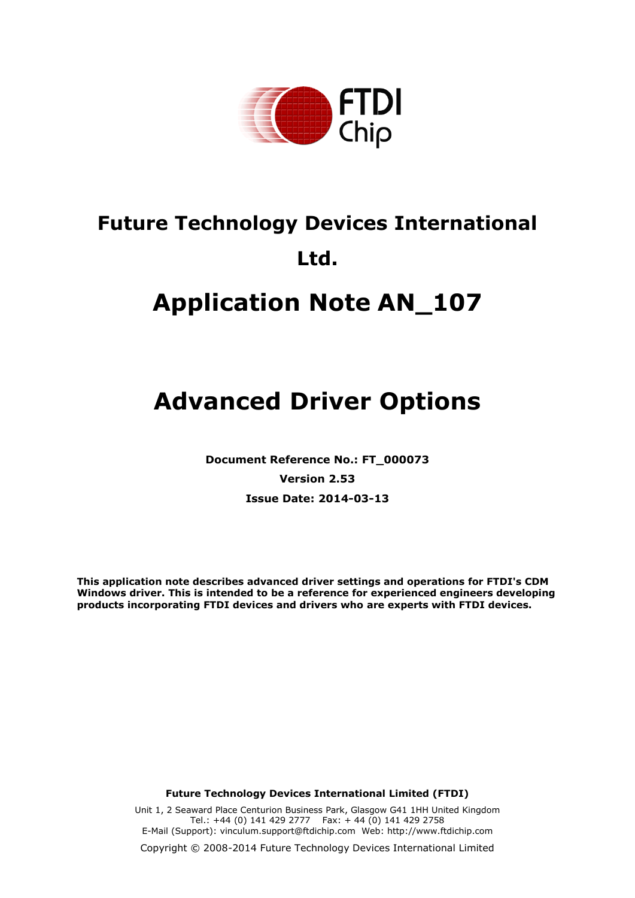

# **Future Technology Devices International Ltd.**

# **Application Note AN\_107**

# **Advanced Driver Options**

**Document Reference No.: FT\_000073 Version 2.53 Issue Date: 2014-03-13**

**This application note describes advanced driver settings and operations for FTDI's CDM Windows driver. This is intended to be a reference for experienced engineers developing products incorporating FTDI devices and drivers who are experts with FTDI devices.**

**Future Technology Devices International Limited (FTDI)**

Unit 1, 2 Seaward Place Centurion Business Park, Glasgow G41 1HH United Kingdom Tel.: +44 (0) 141 429 2777 Fax: + 44 (0) 141 429 2758 E-Mail (Support): [vinculum.support@ftdichip.com](file:///C:/Users/mark.adamson/Documents/SharePoint%20Drafts/vinculum.support@ftdichip.com) Web: [http://www.ftdichip.com](http://www.ftdichip.com/)

Copyright © 2008-2014 Future Technology Devices International Limited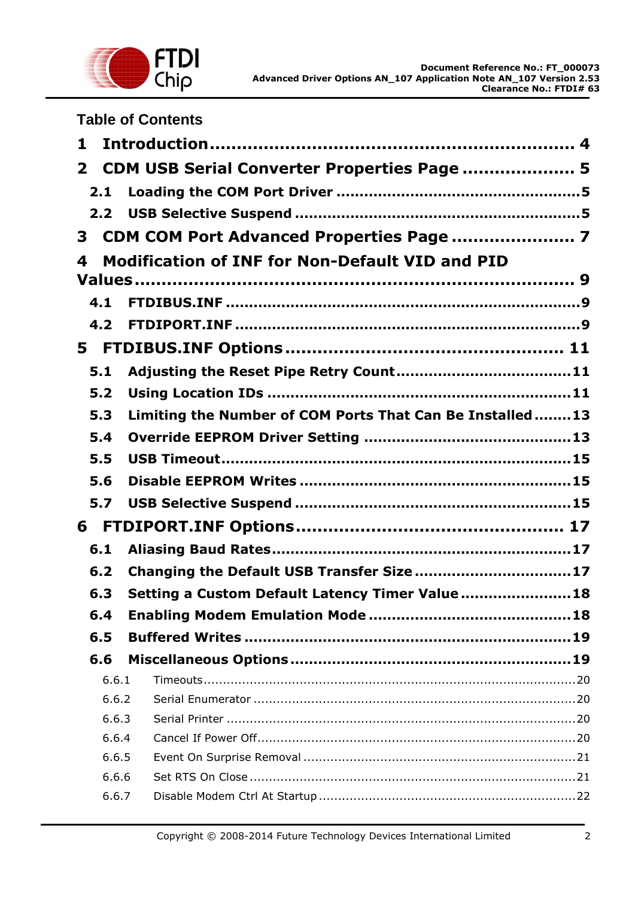

|                | <b>Table of Contents</b>                                 |
|----------------|----------------------------------------------------------|
| 1              |                                                          |
| $\mathbf{2}$   | CDM USB Serial Converter Properties Page  5              |
| 2.1            |                                                          |
|                |                                                          |
| 3              | CDM COM Port Advanced Properties Page  7                 |
| 4              | <b>Modification of INF for Non-Default VID and PID</b>   |
|                |                                                          |
| 4.1            |                                                          |
| 4.2            |                                                          |
|                |                                                          |
| 5.1            |                                                          |
| 5.2            |                                                          |
| 5.3            | Limiting the Number of COM Ports That Can Be Installed13 |
| 5.4            |                                                          |
| 5.5            |                                                          |
| 5.6            |                                                          |
| 5.7            |                                                          |
| 6              |                                                          |
| 6.1            |                                                          |
| 6.2            | Changing the Default USB Transfer Size17                 |
|                | Setting a Custom Default Latency Timer Value 18          |
| 6.3            |                                                          |
| 6.4            |                                                          |
| 6.5            |                                                          |
| 6.6            |                                                          |
| 6.6.1<br>6.6.2 |                                                          |
| 6.6.3          |                                                          |
| 6.6.4          |                                                          |
| 6.6.5          |                                                          |
| 6.6.6          |                                                          |
| 6.6.7          |                                                          |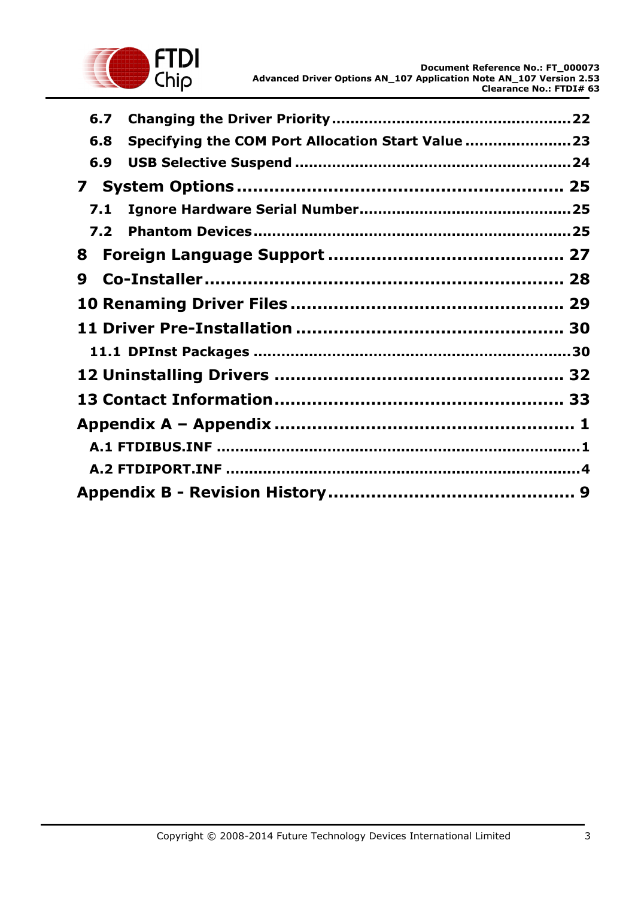

| 6.7 |                                                   |  |
|-----|---------------------------------------------------|--|
| 6.8 | Specifying the COM Port Allocation Start Value 23 |  |
| 6.9 |                                                   |  |
| 7   |                                                   |  |
| 7.1 |                                                   |  |
| 7.2 |                                                   |  |
| 8   |                                                   |  |
| 9   |                                                   |  |
|     |                                                   |  |
|     |                                                   |  |
|     |                                                   |  |
|     |                                                   |  |
|     |                                                   |  |
|     |                                                   |  |
|     |                                                   |  |
|     |                                                   |  |
|     |                                                   |  |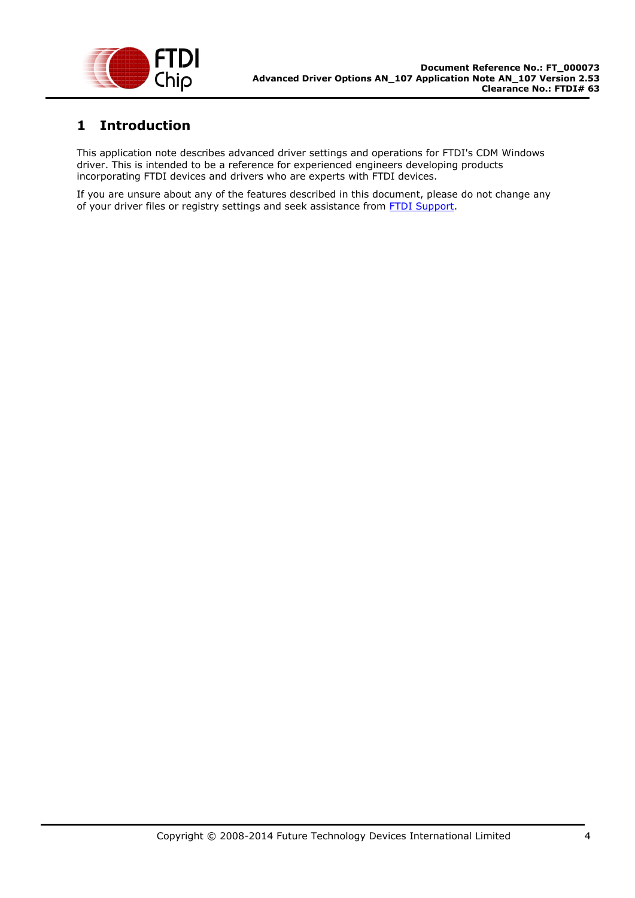

## <span id="page-3-0"></span>**1 Introduction**

This application note describes advanced driver settings and operations for FTDI's CDM Windows driver. This is intended to be a reference for experienced engineers developing products incorporating FTDI devices and drivers who are experts with FTDI devices.

If you are unsure about any of the features described in this document, please do not change any of your driver files or registry settings and seek assistance from **FTDI Support**.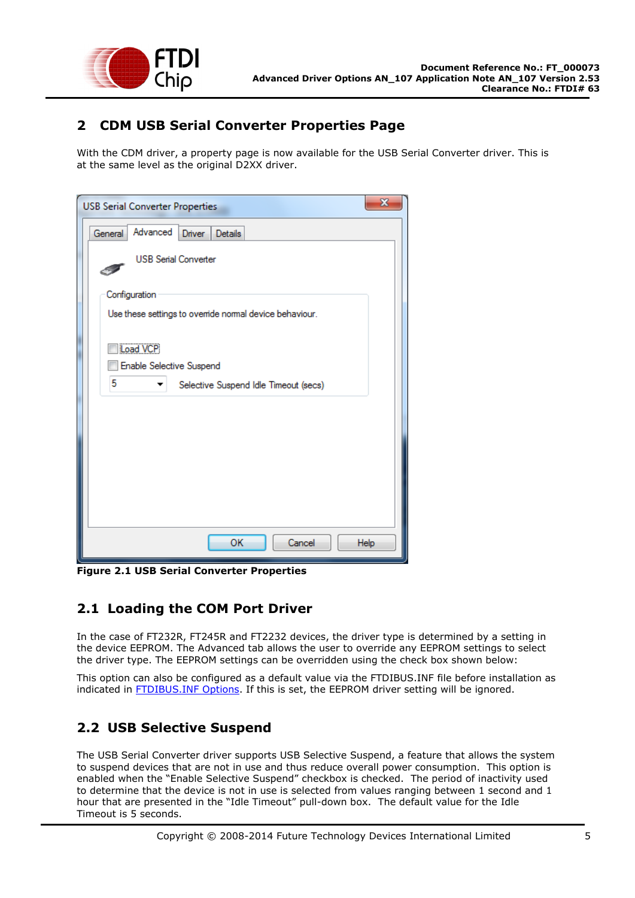

## <span id="page-4-0"></span>**2 CDM USB Serial Converter Properties Page**

With the CDM driver, a property page is now available for the USB Serial Converter driver. This is at the same level as the original D2XX driver.

| <b>USB Serial Converter Properties</b>                  | $\mathbf{x}$ |  |  |
|---------------------------------------------------------|--------------|--|--|
| Advanced<br>General<br>Driver<br><b>Details</b>         |              |  |  |
| <b>USB Serial Converter</b>                             |              |  |  |
| Configuration                                           |              |  |  |
| Use these settings to override normal device behaviour. |              |  |  |
| Load VCP<br><b>Enable Selective Suspend</b>             |              |  |  |
| 5<br>Selective Suspend Idle Timeout (secs)              |              |  |  |
|                                                         |              |  |  |
|                                                         |              |  |  |
|                                                         |              |  |  |
|                                                         |              |  |  |
|                                                         |              |  |  |
|                                                         |              |  |  |
| ОK<br>Cancel                                            | Help         |  |  |

**Figure 2.1 USB Serial Converter Properties**

## <span id="page-4-1"></span>**2.1 Loading the COM Port Driver**

In the case of FT232R, FT245R and FT2232 devices, the driver type is determined by a setting in the device EEPROM. The Advanced tab allows the user to override any EEPROM settings to select the driver type. The EEPROM settings can be overridden using the check box shown below:

This option can also be configured as a default value via the FTDIBUS.INF file before installation as indicated in [FTDIBUS.INF Options.](#page-12-1) If this is set, the EEPROM driver setting will be ignored.

## <span id="page-4-2"></span>**2.2 USB Selective Suspend**

The USB Serial Converter driver supports USB Selective Suspend, a feature that allows the system to suspend devices that are not in use and thus reduce overall power consumption. This option is enabled when the "Enable Selective Suspend" checkbox is checked. The period of inactivity used to determine that the device is not in use is selected from values ranging between 1 second and 1 hour that are presented in the "Idle Timeout" pull-down box. The default value for the Idle Timeout is 5 seconds.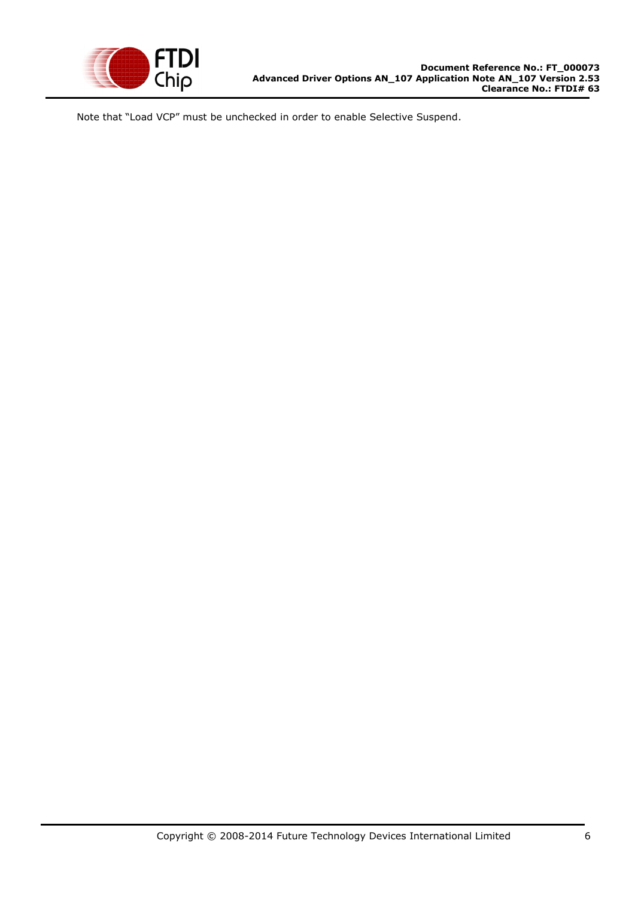

Note that "Load VCP" must be unchecked in order to enable Selective Suspend.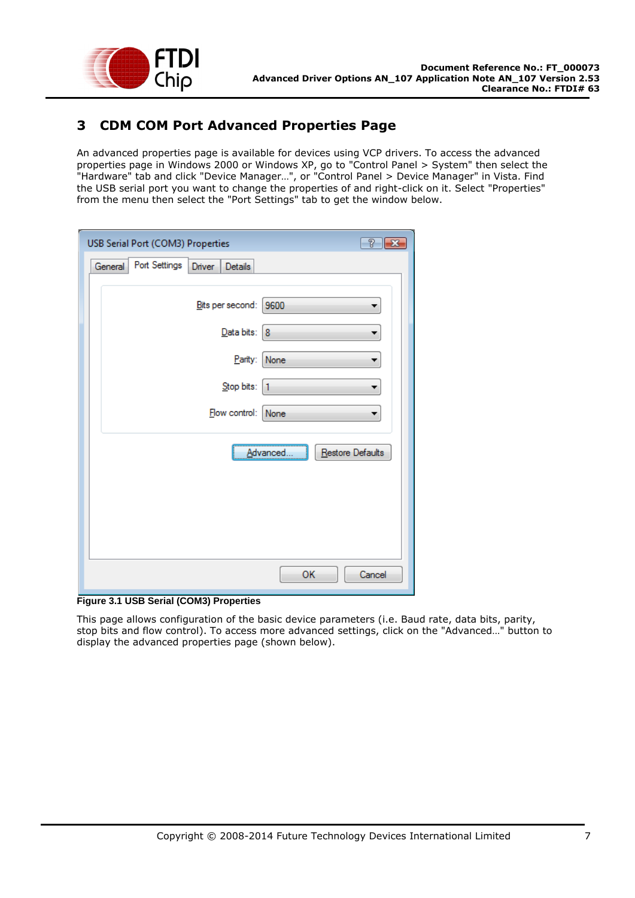

## <span id="page-6-0"></span>**3 CDM COM Port Advanced Properties Page**

An advanced properties page is available for devices using VCP drivers. To access the advanced properties page in Windows 2000 or Windows XP, go to "Control Panel > System" then select the "Hardware" tab and click "Device Manager…", or "Control Panel > Device Manager" in Vista. Find the USB serial port you want to change the properties of and right-click on it. Select "Properties" from the menu then select the "Port Settings" tab to get the window below.

| T<br>USB Serial Port (COM3) Properties                                          | $\overline{\mathbf{x}}$ |
|---------------------------------------------------------------------------------|-------------------------|
| Port Settings<br>General<br>Details<br>Driver                                   |                         |
| Bits per second:<br>9600<br>Data bits: 8<br>Parity:<br>None<br>Stop bits:<br>11 |                         |
| Flow control:<br>None                                                           |                         |
| Restore Defaults<br><u>A</u> dvanced.                                           |                         |
| OK<br>Cancel                                                                    |                         |

**Figure 3.1 USB Serial (COM3) Properties**

This page allows configuration of the basic device parameters (i.e. Baud rate, data bits, parity, stop bits and flow control). To access more advanced settings, click on the "Advanced…" button to display the advanced properties page (shown below).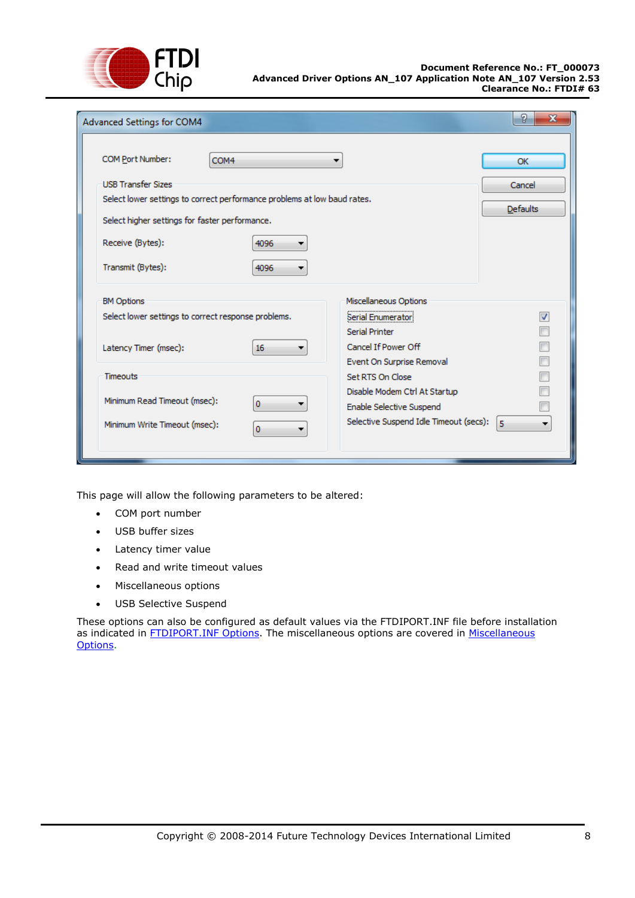

| Advanced Settings for COM4                          |                                                                                             | х  |  |  |
|-----------------------------------------------------|---------------------------------------------------------------------------------------------|----|--|--|
| COM Port Number:<br>COM4                            |                                                                                             | OK |  |  |
| <b>USB Transfer Sizes</b>                           | Cancel                                                                                      |    |  |  |
|                                                     | Select lower settings to correct performance problems at low baud rates.<br><b>Defaults</b> |    |  |  |
| Select higher settings for faster performance.      |                                                                                             |    |  |  |
| Receive (Bytes):<br>4096                            |                                                                                             |    |  |  |
| Transmit (Bytes):<br>4096                           |                                                                                             |    |  |  |
| <b>BM Options</b>                                   | Miscellaneous Options                                                                       |    |  |  |
| Select lower settings to correct response problems. | Serial Enumerator                                                                           | V  |  |  |
|                                                     | Serial Printer                                                                              |    |  |  |
| Latency Timer (msec):<br>16                         | Cancel If Power Off                                                                         |    |  |  |
|                                                     | Event On Surprise Removal                                                                   |    |  |  |
| <b>Timeouts</b>                                     | Set RTS On Close                                                                            |    |  |  |
| Minimum Read Timeout (msec):                        | Disable Modem Ctrl At Startup                                                               |    |  |  |
| 0                                                   | Enable Selective Suspend                                                                    |    |  |  |
| Minimum Write Timeout (msec):<br>o                  | Selective Suspend Idle Timeout (secs):                                                      | 5  |  |  |
|                                                     |                                                                                             |    |  |  |

This page will allow the following parameters to be altered:

- COM port number
- USB buffer sizes
- Latency timer value
- Read and write timeout values
- Miscellaneous options
- USB Selective Suspend

These options can also be configured as default values via the FTDIPORT.INF file before installation as indicated in **FTDIPORT.INF Options**. The miscellaneous options are covered in Miscellaneous [Options.](#page-18-1)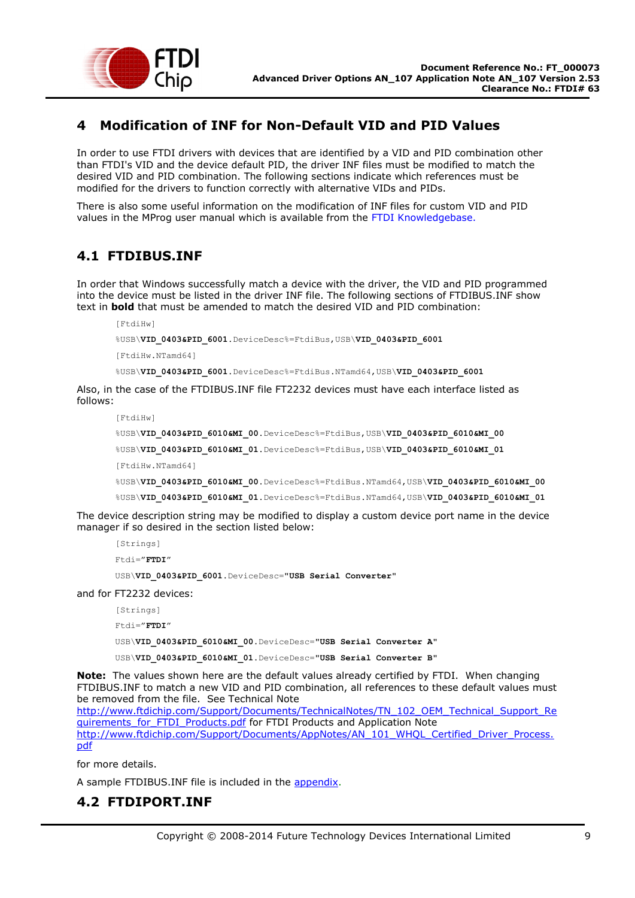

## <span id="page-8-0"></span>**4 Modification of INF for Non-Default VID and PID Values**

In order to use FTDI drivers with devices that are identified by a VID and PID combination other than FTDI's VID and the device default PID, the driver INF files must be modified to match the desired VID and PID combination. The following sections indicate which references must be modified for the drivers to function correctly with alternative VIDs and PIDs.

There is also some useful information on the modification of INF files for custom VID and PID values in the MProg user manual which is available from the FTDI Knowledgebase.

## <span id="page-8-1"></span>**4.1 FTDIBUS.INF**

In order that Windows successfully match a device with the driver, the VID and PID programmed into the device must be listed in the driver INF file. The following sections of FTDIBUS.INF show text in **bold** that must be amended to match the desired VID and PID combination:

[FtdiHw] %USB\**VID\_0403&PID\_6001**.DeviceDesc%=FtdiBus,USB\**VID\_0403&PID\_6001** [FtdiHw.NTamd64] %USB\**VID\_0403&PID\_6001**.DeviceDesc%=FtdiBus.NTamd64,USB\**VID\_0403&PID\_6001**

Also, in the case of the FTDIBUS.INF file FT2232 devices must have each interface listed as follows:

```
[FtdiHw]
%USB\VID_0403&PID_6010&MI_00.DeviceDesc%=FtdiBus,USB\VID_0403&PID_6010&MI_00
%USB\VID_0403&PID_6010&MI_01.DeviceDesc%=FtdiBus,USB\VID_0403&PID_6010&MI_01
[FtdiHw.NTamd64]
%USB\VID_0403&PID_6010&MI_00.DeviceDesc%=FtdiBus.NTamd64,USB\VID_0403&PID_6010&MI_00
%USB\VID_0403&PID_6010&MI_01.DeviceDesc%=FtdiBus.NTamd64,USB\VID_0403&PID_6010&MI_01
```
The device description string may be modified to display a custom device port name in the device manager if so desired in the section listed below:

```
[Strings]
Ftdi="FTDI"
USB\VID_0403&PID_6001.DeviceDesc="USB Serial Converter"
```
and for FT2232 devices:

```
[Strings]
Ftdi="FTDI"
USB\VID_0403&PID_6010&MI_00.DeviceDesc="USB Serial Converter A"
USB\VID_0403&PID_6010&MI_01.DeviceDesc="USB Serial Converter B"
```
**Note:** The values shown here are the default values already certified by FTDI. When changing FTDIBUS.INF to match a new VID and PID combination, all references to these default values must be removed from the file. See Technical Note [http://www.ftdichip.com/Support/Documents/TechnicalNotes/TN\\_102\\_OEM\\_Technical\\_Support\\_Re](http://www.ftdichip.com/Support/Documents/TechnicalNotes/TN_102_OEM_Technical_Support_Requirements_for_FTDI_Products.pdf) [quirements\\_for\\_FTDI\\_Products.pdf](http://www.ftdichip.com/Support/Documents/TechnicalNotes/TN_102_OEM_Technical_Support_Requirements_for_FTDI_Products.pdf) for FTDI Products and Application Note

[http://www.ftdichip.com/Support/Documents/AppNotes/AN\\_101\\_WHQL\\_Certified\\_Driver\\_Process.](http://www.ftdichip.com/Support/Documents/AppNotes/AN_101_WHQL_Certified_Driver_Process.pdf) [pdf](http://www.ftdichip.com/Support/Documents/AppNotes/AN_101_WHQL_Certified_Driver_Process.pdf)

for more details.

A sample FTDIBUS.INF file is included in the [appendix.](#page-34-1)

## <span id="page-8-2"></span>**4.2 FTDIPORT.INF**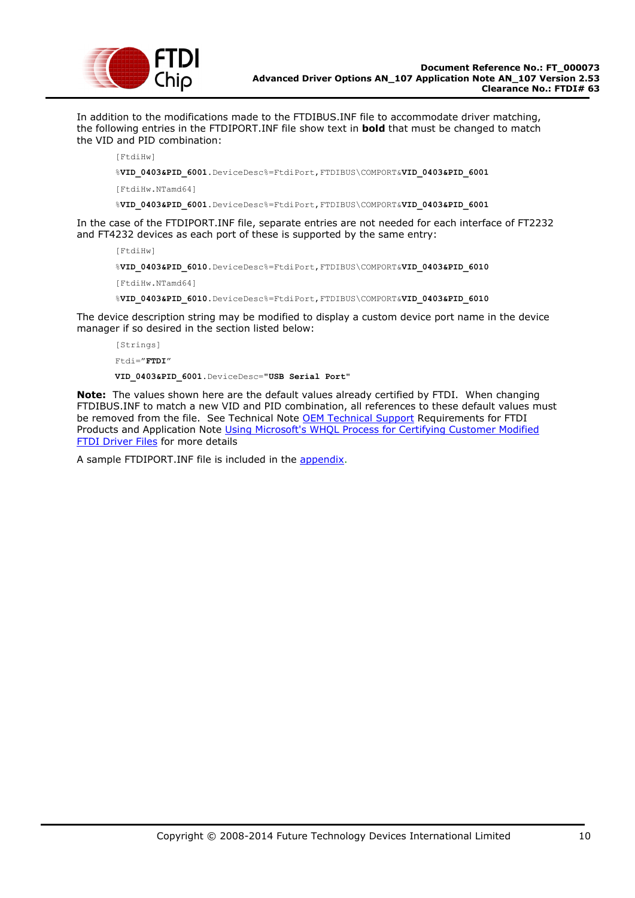

In addition to the modifications made to the FTDIBUS.INF file to accommodate driver matching, the following entries in the FTDIPORT.INF file show text in **bold** that must be changed to match the VID and PID combination:

[FtdiHw]

%**VID\_0403&PID\_6001**.DeviceDesc%=FtdiPort,FTDIBUS\COMPORT&**VID\_0403&PID\_6001**

[FtdiHw.NTamd64]

%**VID\_0403&PID\_6001**.DeviceDesc%=FtdiPort,FTDIBUS\COMPORT&**VID\_0403&PID\_6001**

In the case of the FTDIPORT.INF file, separate entries are not needed for each interface of FT2232 and FT4232 devices as each port of these is supported by the same entry:

[FtdiHw] %**VID\_0403&PID\_6010**.DeviceDesc%=FtdiPort,FTDIBUS\COMPORT&**VID\_0403&PID\_6010** [FtdiHw.NTamd64]

%**VID\_0403&PID\_6010**.DeviceDesc%=FtdiPort,FTDIBUS\COMPORT&**VID\_0403&PID\_6010**

The device description string may be modified to display a custom device port name in the device manager if so desired in the section listed below:

```
[Strings]
Ftdi="FTDI"
```
**VID\_0403&PID\_6001**.DeviceDesc="**USB Serial Port**"

**Note:** The values shown here are the default values already certified by FTDI. When changing FTDIBUS.INF to match a new VID and PID combination, all references to these default values must be removed from the file. See Technical Note **OEM Technical Support Requirements for FTDI** Products and Application Note [Using Microsoft's WHQL Process for Certifying Customer Modified](http://ftdichip.com/Documents/AppNotes/AN_WHQL_Certified_Driver_Process_v100(FT_000063).pdf)  [FTDI Driver Files](http://ftdichip.com/Documents/AppNotes/AN_WHQL_Certified_Driver_Process_v100(FT_000063).pdf) for more details

A sample FTDIPORT.INF file is included in the [appendix.](#page-37-0)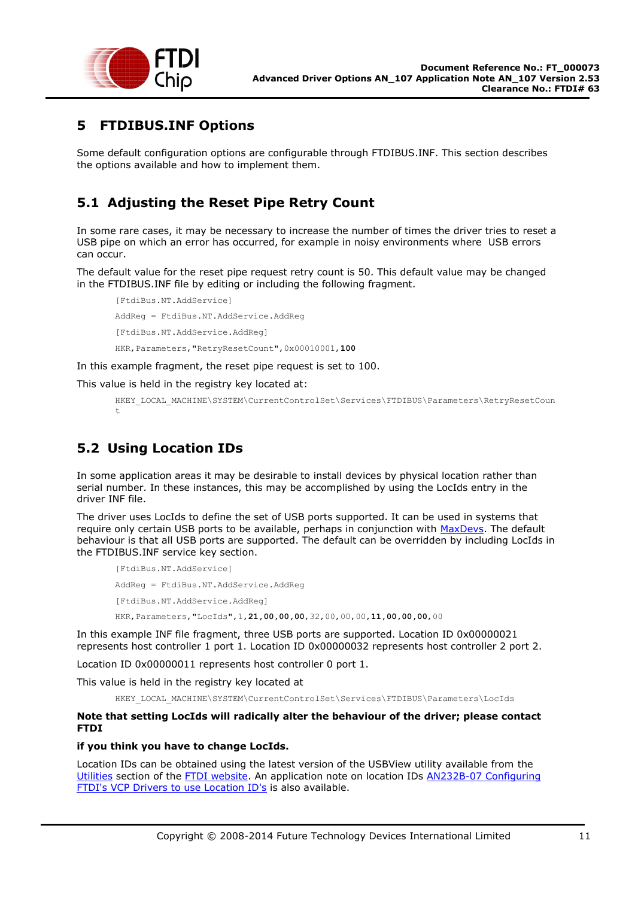

## <span id="page-10-0"></span>**5 FTDIBUS.INF Options**

Some default configuration options are configurable through FTDIBUS.INF. This section describes the options available and how to implement them.

## <span id="page-10-1"></span>**5.1 Adjusting the Reset Pipe Retry Count**

In some rare cases, it may be necessary to increase the number of times the driver tries to reset a USB pipe on which an error has occurred, for example in noisy environments where USB errors can occur.

The default value for the reset pipe request retry count is 50. This default value may be changed in the FTDIBUS.INF file by editing or including the following fragment.

```
[FtdiBus.NT.AddService]
AddReg = FtdiBus.NT.AddService.AddReg
[FtdiBus.NT.AddService.AddReg]
HKR,Parameters,"RetryResetCount",0x00010001,100
```
In this example fragment, the reset pipe request is set to 100.

This value is held in the registry key located at:

```
HKEY_LOCAL_MACHINE\SYSTEM\CurrentControlSet\Services\FTDIBUS\Parameters\RetryResetCoun
t
```
## <span id="page-10-2"></span>**5.2 Using Location IDs**

In some application areas it may be desirable to install devices by physical location rather than serial number. In these instances, this may be accomplished by using the LocIds entry in the driver INF file.

The driver uses LocIds to define the set of USB ports supported. It can be used in systems that require only certain USB ports to be available, perhaps in conjunction with [MaxDevs.](#page-12-0) The default behaviour is that all USB ports are supported. The default can be overridden by including LocIds in the FTDIBUS.INF service key section.

```
[FtdiBus.NT.AddService]
AddReg = FtdiBus.NT.AddService.AddReg
[FtdiBus.NT.AddService.AddReg]
HKR,Parameters,"LocIds",1,21,00,00,00,32,00,00,00,11,00,00,00,00
```
In this example INF file fragment, three USB ports are supported. Location ID 0x00000021 represents host controller 1 port 1. Location ID 0x00000032 represents host controller 2 port 2.

Location ID 0x00000011 represents host controller 0 port 1.

This value is held in the registry key located at

HKEY\_LOCAL\_MACHINE\SYSTEM\CurrentControlSet\Services\FTDIBUS\Parameters\LocIds

### **Note that setting LocIds will radically alter the behaviour of the driver; please contact FTDI**

#### **if you think you have to change LocIds.**

Location IDs can be obtained using the latest version of the USBView utility available from the [Utilities](http://ftdichip.com/Resources/Utilities.htm) section of the [FTDI website.](http://www.ftdichip.com/) An application note on location IDs [AN232B-07 Configuring](http://www.ftdichip.com/Documents/AppNotes/AN232B-07_LocIDs.pdf)  [FTDI's VCP Drivers to use Location ID's](http://www.ftdichip.com/Documents/AppNotes/AN232B-07_LocIDs.pdf) is also available.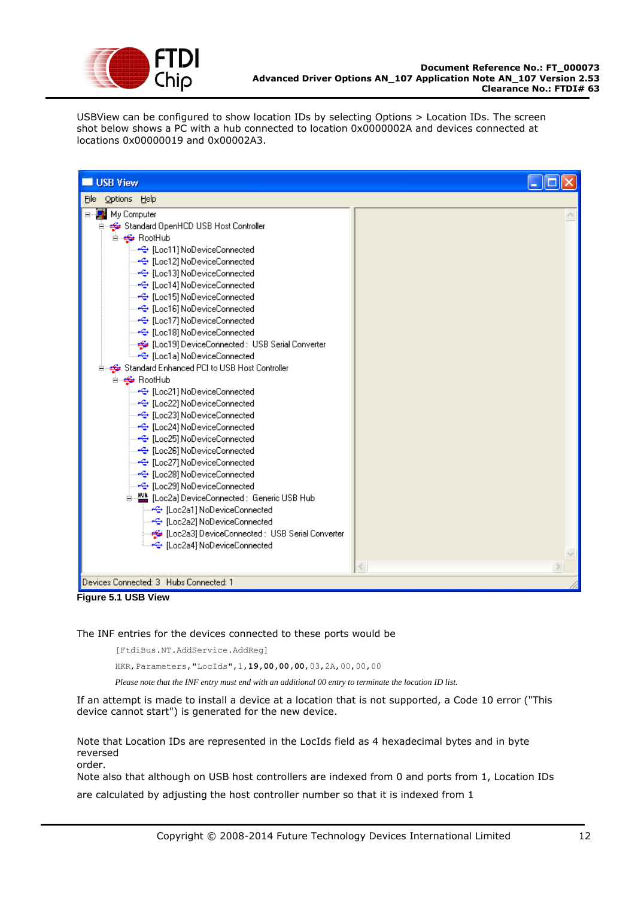

USBView can be configured to show location IDs by selecting Options > Location IDs. The screen shot below shows a PC with a hub connected to location 0x0000002A and devices connected at locations 0x00000019 and 0x00002A3.

| <b>USB View</b>                                                                                                                                                                                                                                                                                                                                                                                                                                                                                                                                                                                                                                                                                                                                                                                                                                                                                                                                                                                                                                                                                                                                                                                                                                                                                                                                  |   |
|--------------------------------------------------------------------------------------------------------------------------------------------------------------------------------------------------------------------------------------------------------------------------------------------------------------------------------------------------------------------------------------------------------------------------------------------------------------------------------------------------------------------------------------------------------------------------------------------------------------------------------------------------------------------------------------------------------------------------------------------------------------------------------------------------------------------------------------------------------------------------------------------------------------------------------------------------------------------------------------------------------------------------------------------------------------------------------------------------------------------------------------------------------------------------------------------------------------------------------------------------------------------------------------------------------------------------------------------------|---|
| Options Help<br>File                                                                                                                                                                                                                                                                                                                                                                                                                                                                                                                                                                                                                                                                                                                                                                                                                                                                                                                                                                                                                                                                                                                                                                                                                                                                                                                             |   |
| ⊟ <sup></sup> My Computer<br>der estandard OpenHCD USB Host Controller<br><b>E</b> RootHub<br><del>…&lt;은</del> [Loc11] NoDeviceConnected<br>— <del>•</del> ⊖ [Loc12] NoDeviceConnected<br>┈ <del>스</del> [Loc13] NoDeviceConnected<br>— <del>•⊆• [Loc14] NoDeviceConnected</del><br>┈ <del>스</del> [Loc15] NoDeviceConnected<br><del>- ---C+</del> [Loc16] NoDeviceConnected<br>— <del>•ु</del> [Loc17] NoDeviceConnected<br>— <del>•ੂ</del> [Loc18] NoDeviceConnected<br>[Loc19] DeviceConnected : USB Serial Converter الخُ <del>وَّة</del> "<br>ं—• <del>€•</del> [Loc1a] NoDeviceConnected<br>Standard Enhanced PCI to USB Host Controller<br><b>E</b> et RootHub<br>— <del>•⊖</del> [Loc21] NoDeviceConnected<br><del>…&lt;=</del> [Loc22] NoDeviceConnected<br>— <del>•€• [Loc23] NoDeviceConnected</del><br>— <del>•</del> ⊖ [Loc24] NoDeviceConnected<br><del>- ^C+</del> [Loc25] NoDeviceConnected<br>— <del>•</del> ⊖ [Loc26] NoDeviceConnected<br>— <del>•⊆• [Loc27] NoDeviceConnected</del><br><del>…&lt;은</del> [Loc28] NoDeviceConnected<br>⊶← [Loc29] NoDeviceConnected<br>白…▓▓ [Loc2a] DeviceConnected : Generic USB Hub<br>—⊷ <del>€</del> [Loc2a1] NoDeviceConnected<br>— <del>•€•</del> [Loc2a2] NoDeviceConnected<br>Loc2a3] DeviceConnected : USB Serial Converter] و الوڪ<br>ं—• <del>€•</del> [Loc2a4] NoDeviceConnected | ∢ |
| Devices Connected: 3 Hubs Connected: 1                                                                                                                                                                                                                                                                                                                                                                                                                                                                                                                                                                                                                                                                                                                                                                                                                                                                                                                                                                                                                                                                                                                                                                                                                                                                                                           |   |
| Figure 5.1 USB View                                                                                                                                                                                                                                                                                                                                                                                                                                                                                                                                                                                                                                                                                                                                                                                                                                                                                                                                                                                                                                                                                                                                                                                                                                                                                                                              |   |

The INF entries for the devices connected to these ports would be

[FtdiBus.NT.AddService.AddReg]

HKR,Parameters,"LocIds",1,**19,00,00,00**,03,2A,00,00,00

*Please note that the INF entry must end with an additional 00 entry to terminate the location ID list.*

If an attempt is made to install a device at a location that is not supported, a Code 10 error ("This device cannot start") is generated for the new device.

Note that Location IDs are represented in the LocIds field as 4 hexadecimal bytes and in byte reversed order.

Note also that although on USB host controllers are indexed from 0 and ports from 1, Location IDs

are calculated by adjusting the host controller number so that it is indexed from 1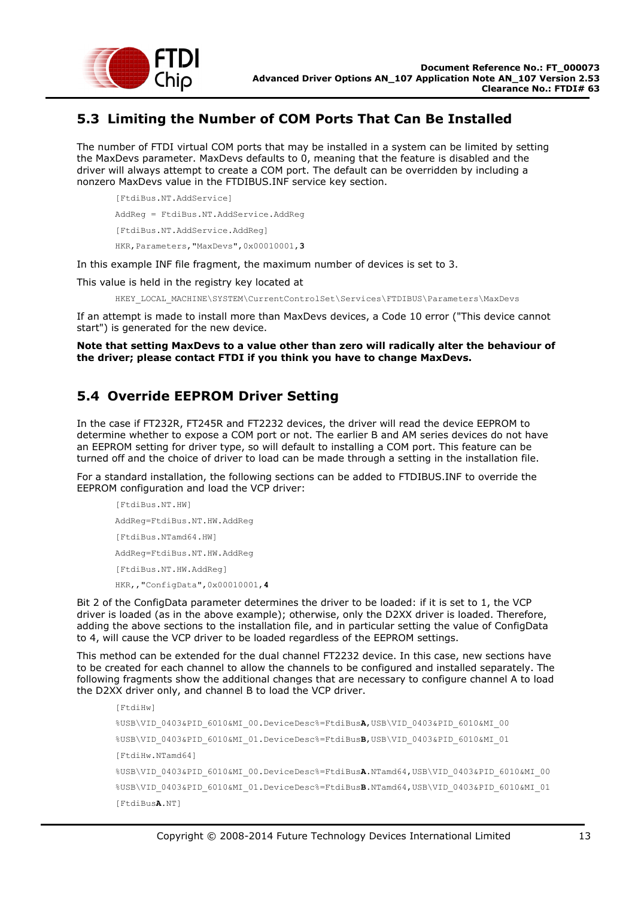

## <span id="page-12-0"></span>**5.3 Limiting the Number of COM Ports That Can Be Installed**

The number of FTDI virtual COM ports that may be installed in a system can be limited by setting the MaxDevs parameter. MaxDevs defaults to 0, meaning that the feature is disabled and the driver will always attempt to create a COM port. The default can be overridden by including a nonzero MaxDevs value in the FTDIBUS.INF service key section.

[FtdiBus.NT.AddService]

AddReg = FtdiBus.NT.AddService.AddReg

[FtdiBus.NT.AddService.AddReg]

HKR,Parameters,"MaxDevs",0x00010001,**3**

In this example INF file fragment, the maximum number of devices is set to 3.

This value is held in the registry key located at

HKEY\_LOCAL\_MACHINE\SYSTEM\CurrentControlSet\Services\FTDIBUS\Parameters\MaxDevs

If an attempt is made to install more than MaxDevs devices, a Code 10 error ("This device cannot start") is generated for the new device.

**Note that setting MaxDevs to a value other than zero will radically alter the behaviour of the driver; please contact FTDI if you think you have to change MaxDevs.**

# <span id="page-12-1"></span>**5.4 Override EEPROM Driver Setting**

In the case if FT232R, FT245R and FT2232 devices, the driver will read the device EEPROM to determine whether to expose a COM port or not. The earlier B and AM series devices do not have an EEPROM setting for driver type, so will default to installing a COM port. This feature can be turned off and the choice of driver to load can be made through a setting in the installation file.

For a standard installation, the following sections can be added to FTDIBUS.INF to override the EEPROM configuration and load the VCP driver:

[FtdiBus.NT.HW] AddReg=FtdiBus.NT.HW.AddReg [FtdiBus.NTamd64.HW] AddReg=FtdiBus.NT.HW.AddReg [FtdiBus.NT.HW.AddReg] HKR,,"ConfigData",0x00010001,**4**

Bit 2 of the ConfigData parameter determines the driver to be loaded: if it is set to 1, the VCP driver is loaded (as in the above example); otherwise, only the D2XX driver is loaded. Therefore, adding the above sections to the installation file, and in particular setting the value of ConfigData to 4, will cause the VCP driver to be loaded regardless of the EEPROM settings.

This method can be extended for the dual channel FT2232 device. In this case, new sections have to be created for each channel to allow the channels to be configured and installed separately. The following fragments show the additional changes that are necessary to configure channel A to load the D2XX driver only, and channel B to load the VCP driver.

```
[FtdiHw]
%USB\VID_0403&PID_6010&MI_00.DeviceDesc%=FtdiBusA,USB\VID_0403&PID_6010&MI_00
%USB\VID_0403&PID_6010&MI_01.DeviceDesc%=FtdiBusB,USB\VID_0403&PID_6010&MI_01
[FtdiHw.NTamd64]
%USB\VID_0403&PID_6010&MI_00.DeviceDesc%=FtdiBusA.NTamd64,USB\VID_0403&PID_6010&MI_00
%USB\VID_0403&PID_6010&MI_01.DeviceDesc%=FtdiBusB.NTamd64,USB\VID_0403&PID_6010&MI_01
[FtdiBusA.NT]
```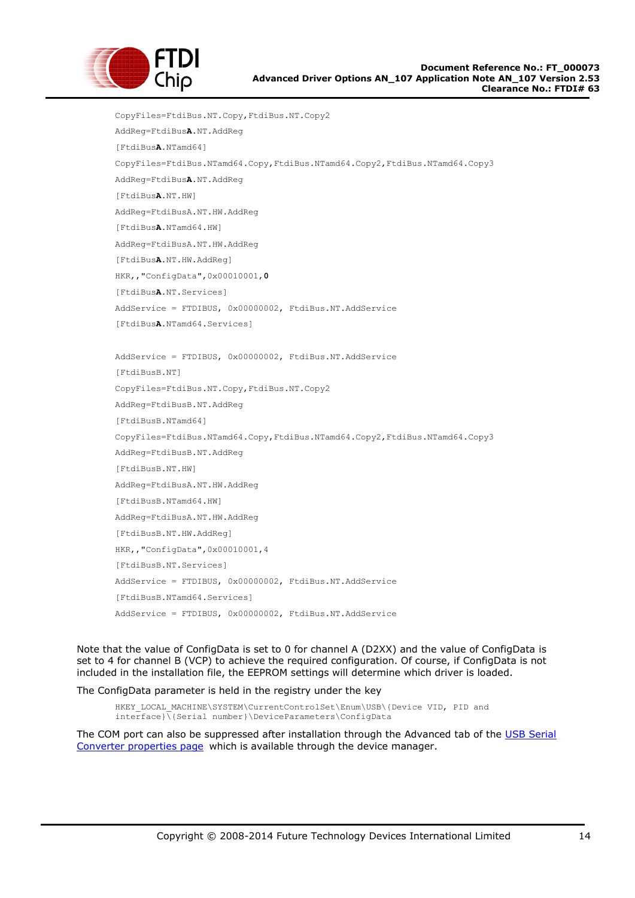

```
CopyFiles=FtdiBus.NT.Copy,FtdiBus.NT.Copy2
AddReg=FtdiBusA.NT.AddReg
[FtdiBusA.NTamd64]
CopyFiles=FtdiBus.NTamd64.Copy,FtdiBus.NTamd64.Copy2,FtdiBus.NTamd64.Copy3
AddReg=FtdiBusA.NT.AddReg
[FtdiBusA.NT.HW]
AddReg=FtdiBusA.NT.HW.AddReg
[FtdiBusA.NTamd64.HW]
AddReg=FtdiBusA.NT.HW.AddReg
[FtdiBusA.NT.HW.AddReg]
HKR,,"ConfigData",0x00010001,0
[FtdiBusA.NT.Services]
AddService = FTDIBUS, 0x00000002, FtdiBus.NT.AddService
[FtdiBusA.NTamd64.Services]
AddService = FTDIBUS, 0x00000002, FtdiBus.NT.AddService
[FtdiBusB.NT]
CopyFiles=FtdiBus.NT.Copy,FtdiBus.NT.Copy2
AddReg=FtdiBusB.NT.AddReg
[FtdiBusB.NTamd64]
CopyFiles=FtdiBus.NTamd64.Copy,FtdiBus.NTamd64.Copy2,FtdiBus.NTamd64.Copy3
AddReg=FtdiBusB.NT.AddReg
[FtdiBusB.NT.HW]
AddReg=FtdiBusA.NT.HW.AddReg
[FtdiBusB.NTamd64.HW]
AddReg=FtdiBusA.NT.HW.AddReg
[FtdiBusB.NT.HW.AddReg]
HKR,,"ConfigData",0x00010001,4
[FtdiBusB.NT.Services]
AddService = FTDIBUS, 0x00000002, FtdiBus.NT.AddService
[FtdiBusB.NTamd64.Services]
AddService = FTDIBUS, 0x00000002, FtdiBus.NT.AddService
```
Note that the value of ConfigData is set to 0 for channel A (D2XX) and the value of ConfigData is set to 4 for channel B (VCP) to achieve the required configuration. Of course, if ConfigData is not included in the installation file, the EEPROM settings will determine which driver is loaded.

The ConfigData parameter is held in the registry under the key

HKEY\_LOCAL\_MACHINE\SYSTEM\CurrentControlSet\Enum\USB\{Device VID, PID and interface}\{Serial number}\DeviceParameters\ConfigData

The COM port can also be suppressed after installation through the Advanced tab of the USB Serial [Converter properties page](#page-4-0) which is available through the device manager.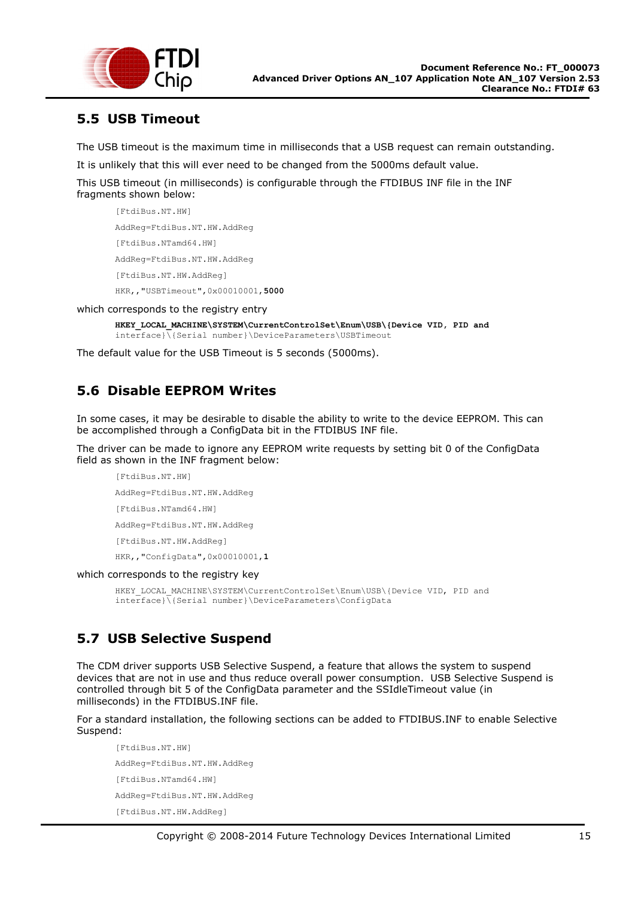

## <span id="page-14-0"></span>**5.5 USB Timeout**

The USB timeout is the maximum time in milliseconds that a USB request can remain outstanding.

It is unlikely that this will ever need to be changed from the 5000ms default value.

This USB timeout (in milliseconds) is configurable through the FTDIBUS INF file in the INF fragments shown below:

```
[FtdiBus.NT.HW]
AddReg=FtdiBus.NT.HW.AddReg
[FtdiBus.NTamd64.HW]
AddReg=FtdiBus.NT.HW.AddReg
[FtdiBus.NT.HW.AddReg]
HKR,,"USBTimeout",0x00010001,5000
```
which corresponds to the registry entry

```
HKEY_LOCAL_MACHINE\SYSTEM\CurrentControlSet\Enum\USB\{Device VID, PID and 
interface}\{Serial number}\DeviceParameters\USBTimeout
```
The default value for the USB Timeout is 5 seconds (5000ms).

# <span id="page-14-1"></span>**5.6 Disable EEPROM Writes**

In some cases, it may be desirable to disable the ability to write to the device EEPROM. This can be accomplished through a ConfigData bit in the FTDIBUS INF file.

The driver can be made to ignore any EEPROM write requests by setting bit 0 of the ConfigData field as shown in the INF fragment below:

```
[FtdiBus.NT.HW]
AddReg=FtdiBus.NT.HW.AddReg
[FtdiBus.NTamd64.HW]
AddReg=FtdiBus.NT.HW.AddReg
[FtdiBus.NT.HW.AddReg]
HKR,,"ConfigData",0x00010001,1
```
which corresponds to the registry key

HKEY\_LOCAL\_MACHINE\SYSTEM\CurrentControlSet\Enum\USB\{Device VID, PID and interface}\{Serial number}\DeviceParameters\ConfigData

# <span id="page-14-2"></span>**5.7 USB Selective Suspend**

The CDM driver supports USB Selective Suspend, a feature that allows the system to suspend devices that are not in use and thus reduce overall power consumption. USB Selective Suspend is controlled through bit 5 of the ConfigData parameter and the SSIdleTimeout value (in milliseconds) in the FTDIBUS.INF file.

For a standard installation, the following sections can be added to FTDIBUS.INF to enable Selective Suspend:

[FtdiBus.NT.HW] AddReg=FtdiBus.NT.HW.AddReg [FtdiBus.NTamd64.HW] AddReg=FtdiBus.NT.HW.AddReg [FtdiBus.NT.HW.AddReg]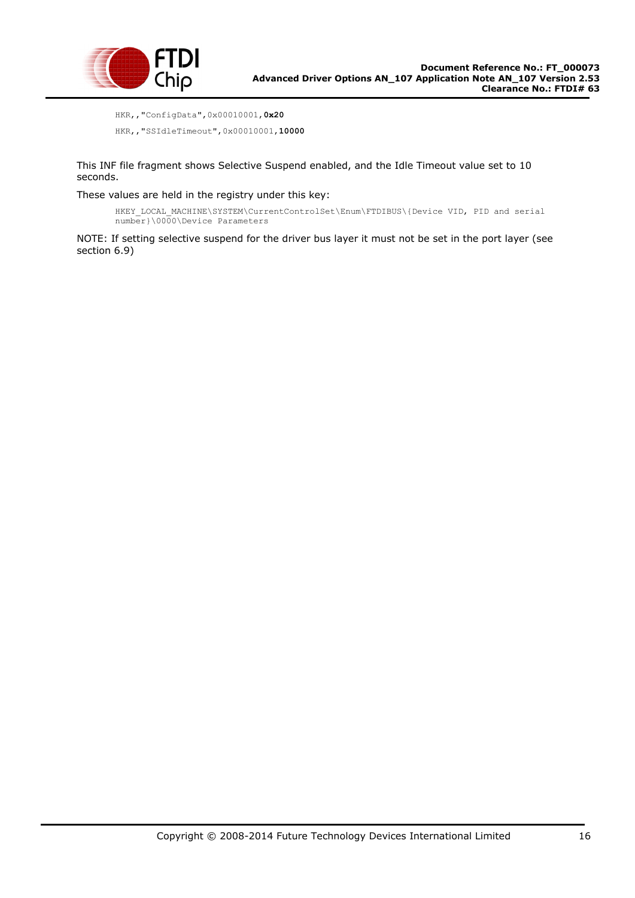

```
HKR,,"ConfigData",0x00010001,0x20
HKR,,"SSIdleTimeout",0x00010001,10000
```
This INF file fragment shows Selective Suspend enabled, and the Idle Timeout value set to 10 seconds.

These values are held in the registry under this key:

HKEY\_LOCAL\_MACHINE\SYSTEM\CurrentControlSet\Enum\FTDIBUS\{Device VID, PID and serial number}\0000\Device Parameters

NOTE: If setting selective suspend for the driver bus layer it must not be set in the port layer (see section 6.9)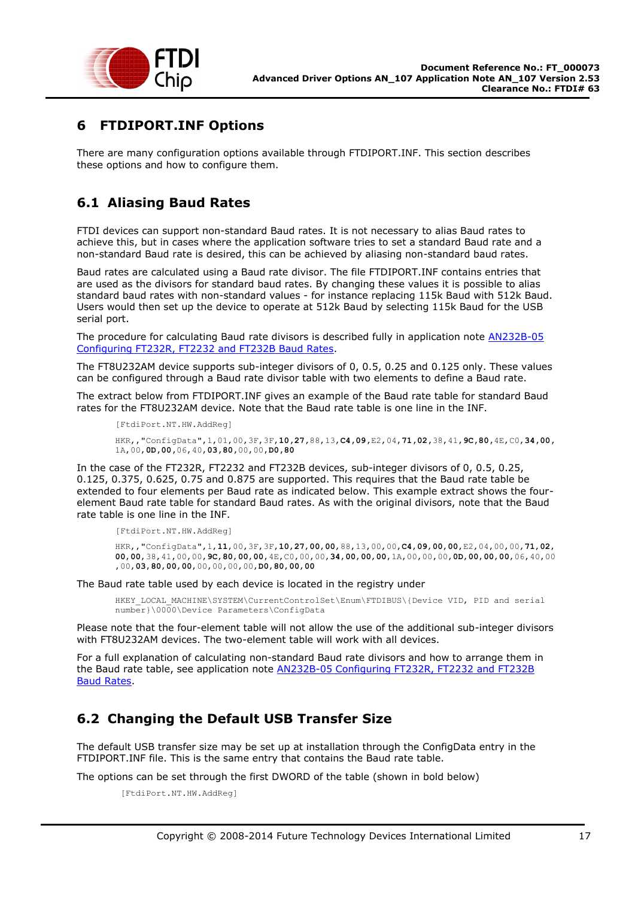

## <span id="page-16-0"></span>**6 FTDIPORT.INF Options**

There are many configuration options available through FTDIPORT.INF. This section describes these options and how to configure them.

## <span id="page-16-1"></span>**6.1 Aliasing Baud Rates**

FTDI devices can support non-standard Baud rates. It is not necessary to alias Baud rates to achieve this, but in cases where the application software tries to set a standard Baud rate and a non-standard Baud rate is desired, this can be achieved by aliasing non-standard baud rates.

Baud rates are calculated using a Baud rate divisor. The file FTDIPORT.INF contains entries that are used as the divisors for standard baud rates. By changing these values it is possible to alias standard baud rates with non-standard values - for instance replacing 115k Baud with 512k Baud. Users would then set up the device to operate at 512k Baud by selecting 115k Baud for the USB serial port.

The procedure for calculating Baud rate divisors is described fully in application note [AN232B-05](http://www.ftdichip.com/Documents/AppNotes/AN232B-05_BaudRates.pdf)  [Configuring FT232R, FT2232 and FT232B Baud Rates.](http://www.ftdichip.com/Documents/AppNotes/AN232B-05_BaudRates.pdf)

The FT8U232AM device supports sub-integer divisors of 0, 0.5, 0.25 and 0.125 only. These values can be configured through a Baud rate divisor table with two elements to define a Baud rate.

The extract below from FTDIPORT.INF gives an example of the Baud rate table for standard Baud rates for the FT8U232AM device. Note that the Baud rate table is one line in the INF.

```
[FtdiPort.NT.HW.AddReg]
```
HKR,,"ConfigData",1,01,00,3F,3F,**10,27,**88,13,**C4,09,**E2,04,**71,02,**38,41,**9C,80,**4E,C0,**34,00,** 1A,00,**0D,00,**06,40,**03,80,**00,00,**D0,80**

In the case of the FT232R, FT2232 and FT232B devices, sub-integer divisors of 0, 0.5, 0.25, 0.125, 0.375, 0.625, 0.75 and 0.875 are supported. This requires that the Baud rate table be extended to four elements per Baud rate as indicated below. This example extract shows the fourelement Baud rate table for standard Baud rates. As with the original divisors, note that the Baud rate table is one line in the INF.

[FtdiPort.NT.HW.AddReg]

HKR,,"ConfigData",1,**11**,00,3F,3F,**10**,**27**,**00**,**00**,88,13,00,00,**C4**,**09**,**00**,**00**,E2,04,00,00,**71**,**02**, **00**,**00**,38,41,00,00,**9C**,**80**,**00**,**00**,4E,C0,00,00,**34**,**00**,**00**,**00**,1A,00,00,00,**0D**,**00**,**00**,**00**,06,40,00 ,00,**03**,**80**,**00**,**00**,00,00,00,00,**D0**,**80**,**00**,**00**

The Baud rate table used by each device is located in the registry under

HKEY\_LOCAL\_MACHINE\SYSTEM\CurrentControlSet\Enum\FTDIBUS\{Device VID, PID and serial number}\0000\Device Parameters\ConfigData

Please note that the four-element table will not allow the use of the additional sub-integer divisors with FT8U232AM devices. The two-element table will work with all devices.

For a full explanation of calculating non-standard Baud rate divisors and how to arrange them in the Baud rate table, see application note [AN232B-05 Configuring FT232R, FT2232 and FT232B](http://www.ftdichip.com/Documents/AppNotes/AN232B-05_BaudRates.pdf)  [Baud Rates.](http://www.ftdichip.com/Documents/AppNotes/AN232B-05_BaudRates.pdf)

## <span id="page-16-2"></span>**6.2 Changing the Default USB Transfer Size**

The default USB transfer size may be set up at installation through the ConfigData entry in the FTDIPORT.INF file. This is the same entry that contains the Baud rate table.

The options can be set through the first DWORD of the table (shown in bold below)

```
[FtdiPort.NT.HW.AddReg]
```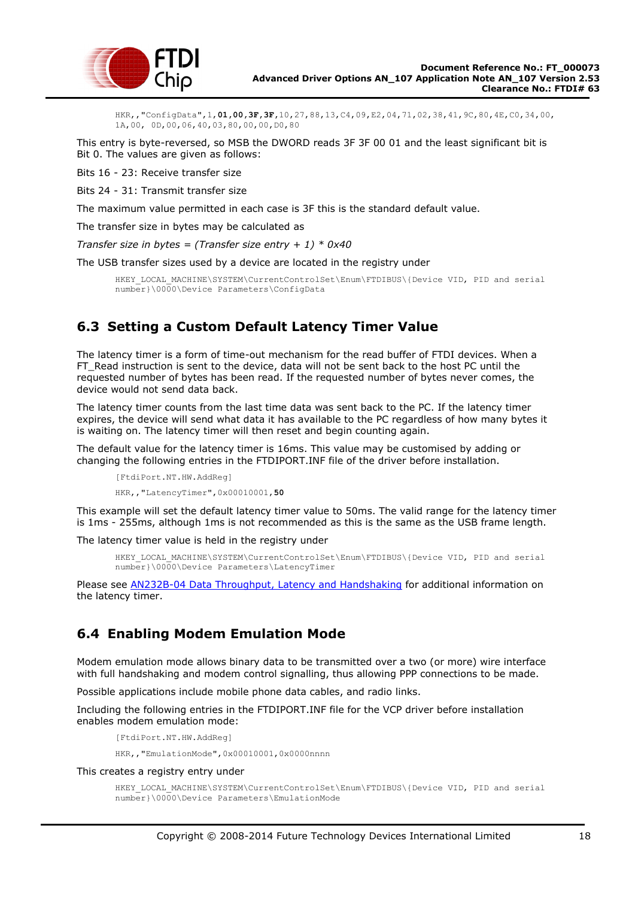

HKR,,"ConfigData",1,**01,00,3F,3F,**10,27,88,13,C4,09,E2,04,71,02,38,41,9C,80,4E,C0,34,00, 1A,00, 0D,00,06,40,03,80,00,00,D0,80

This entry is byte-reversed, so MSB the DWORD reads 3F 3F 00 01 and the least significant bit is Bit 0. The values are given as follows:

Bits 16 - 23: Receive transfer size

Bits 24 - 31: Transmit transfer size

The maximum value permitted in each case is 3F this is the standard default value.

The transfer size in bytes may be calculated as

*Transfer size in bytes = (Transfer size entry + 1) \* 0x40*

The USB transfer sizes used by a device are located in the registry under

HKEY\_LOCAL\_MACHINE\SYSTEM\CurrentControlSet\Enum\FTDIBUS\{Device VID, PID and serial number}\0000\Device Parameters\ConfigData

## <span id="page-17-0"></span>**6.3 Setting a Custom Default Latency Timer Value**

The latency timer is a form of time-out mechanism for the read buffer of FTDI devices. When a FT\_Read instruction is sent to the device, data will not be sent back to the host PC until the requested number of bytes has been read. If the requested number of bytes never comes, the device would not send data back.

The latency timer counts from the last time data was sent back to the PC. If the latency timer expires, the device will send what data it has available to the PC regardless of how many bytes it is waiting on. The latency timer will then reset and begin counting again.

The default value for the latency timer is 16ms. This value may be customised by adding or changing the following entries in the FTDIPORT.INF file of the driver before installation.

[FtdiPort.NT.HW.AddReg] HKR,,"LatencyTimer",0x00010001,**50**

This example will set the default latency timer value to 50ms. The valid range for the latency timer is 1ms - 255ms, although 1ms is not recommended as this is the same as the USB frame length.

The latency timer value is held in the registry under

HKEY\_LOCAL\_MACHINE\SYSTEM\CurrentControlSet\Enum\FTDIBUS\{Device VID, PID and serial number}\0000\Device Parameters\LatencyTimer

Please see [AN232B-04 Data Throughput, Latency and Handshaking](http://www.ftdichip.com/Documents/AppNotes/AN232B-04_DataLatencyFlow.pdf) for additional information on the latency timer.

## <span id="page-17-1"></span>**6.4 Enabling Modem Emulation Mode**

Modem emulation mode allows binary data to be transmitted over a two (or more) wire interface with full handshaking and modem control signalling, thus allowing PPP connections to be made.

Possible applications include mobile phone data cables, and radio links.

Including the following entries in the FTDIPORT.INF file for the VCP driver before installation enables modem emulation mode:

[FtdiPort.NT.HW.AddReg]

HKR,,"EmulationMode",0x00010001,0x0000nnnn

This creates a registry entry under

```
HKEY_LOCAL_MACHINE\SYSTEM\CurrentControlSet\Enum\FTDIBUS\{Device VID, PID and serial
number}\0000\Device Parameters\EmulationMode
```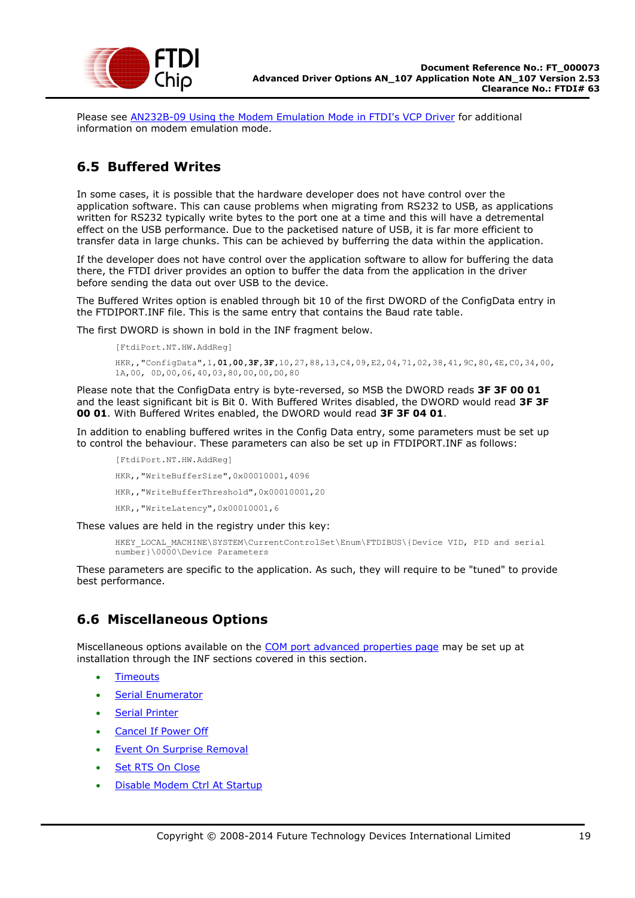

Please see [AN232B-09 Using the Modem Emulation Mode in FTDI's VCP Driver](http://www.ftdichip.com/Documents/AppNotes/AN232B-09_Modem_Emulation_Mode.pdf) for additional information on modem emulation mode.

## <span id="page-18-0"></span>**6.5 Buffered Writes**

In some cases, it is possible that the hardware developer does not have control over the application software. This can cause problems when migrating from RS232 to USB, as applications written for RS232 typically write bytes to the port one at a time and this will have a detremental effect on the USB performance. Due to the packetised nature of USB, it is far more efficient to transfer data in large chunks. This can be achieved by bufferring the data within the application.

If the developer does not have control over the application software to allow for buffering the data there, the FTDI driver provides an option to buffer the data from the application in the driver before sending the data out over USB to the device.

The Buffered Writes option is enabled through bit 10 of the first DWORD of the ConfigData entry in the FTDIPORT.INF file. This is the same entry that contains the Baud rate table.

The first DWORD is shown in bold in the INF fragment below.

```
[FtdiPort.NT.HW.AddReg]
HKR,,"ConfigData",1,01,00,3F,3F,10,27,88,13,C4,09,E2,04,71,02,38,41,9C,80,4E,C0,34,00,
1A,00, 0D,00,06,40,03,80,00,00,D0,80
```
Please note that the ConfigData entry is byte-reversed, so MSB the DWORD reads **3F 3F 00 01**  and the least significant bit is Bit 0. With Buffered Writes disabled, the DWORD would read **3F 3F 00 01**. With Buffered Writes enabled, the DWORD would read **3F 3F 04 01**.

In addition to enabling buffered writes in the Config Data entry, some parameters must be set up to control the behaviour. These parameters can also be set up in FTDIPORT.INF as follows:

[FtdiPort.NT.HW.AddReg] HKR,,"WriteBufferSize",0x00010001,4096 HKR,,"WriteBufferThreshold",0x00010001,20 HKR,,"WriteLatency",0x00010001,6

These values are held in the registry under this key:

HKEY\_LOCAL\_MACHINE\SYSTEM\CurrentControlSet\Enum\FTDIBUS\{Device VID, PID and serial number}\0000\Device Parameters

These parameters are specific to the application. As such, they will require to be "tuned" to provide best performance.

## <span id="page-18-1"></span>**6.6 Miscellaneous Options**

Miscellaneous options available on the [COM port advanced properties page](#page-6-0) may be set up at installation through the INF sections covered in this section.

- [Timeouts](#page-19-0)
- [Serial Enumerator](#page-19-1)
- **•** [Serial Printer](#page-19-2)
- [Cancel If Power Off](#page-19-3)
- [Event On Surprise Removal](#page-20-0)
- [Set RTS On Close](#page-20-1)
- [Disable Modem Ctrl At Startup](#page-21-0)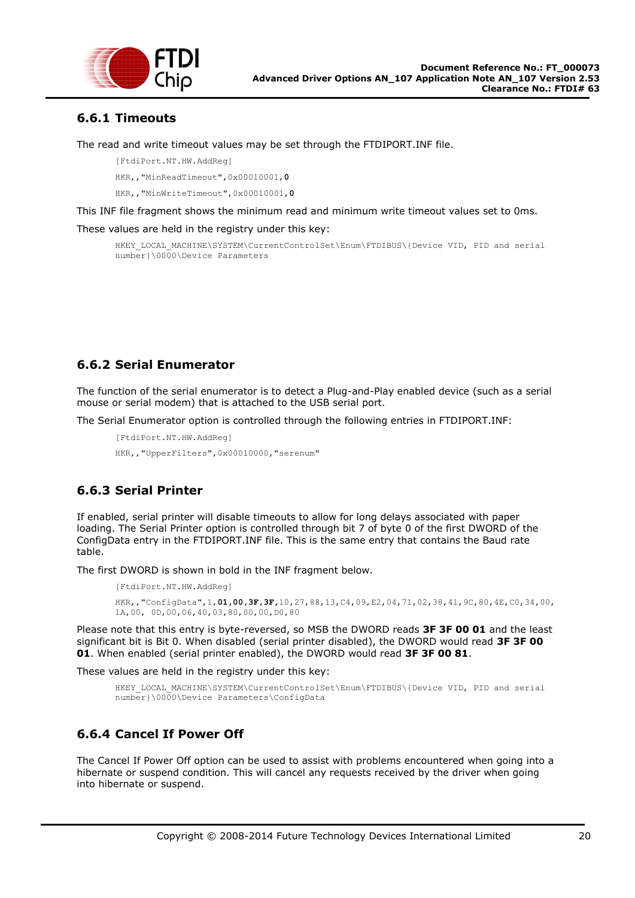

## <span id="page-19-0"></span>**6.6.1 Timeouts**

The read and write timeout values may be set through the FTDIPORT.INF file.

[FtdiPort.NT.HW.AddReg]

HKR,,"MinReadTimeout",0x00010001,**0**

HKR,,"MinWriteTimeout",0x00010001,**0**

This INF file fragment shows the minimum read and minimum write timeout values set to 0ms.

These values are held in the registry under this key:

HKEY\_LOCAL\_MACHINE\SYSTEM\CurrentControlSet\Enum\FTDIBUS\{Device VID, PID and serial number}\0000\Device Parameters

### <span id="page-19-1"></span>**6.6.2 Serial Enumerator**

The function of the serial enumerator is to detect a Plug-and-Play enabled device (such as a serial mouse or serial modem) that is attached to the USB serial port.

The Serial Enumerator option is controlled through the following entries in FTDIPORT.INF:

```
[FtdiPort.NT.HW.AddReg]
```
HKR,,"UpperFilters",0x00010000,"serenum"

## <span id="page-19-2"></span>**6.6.3 Serial Printer**

If enabled, serial printer will disable timeouts to allow for long delays associated with paper loading. The Serial Printer option is controlled through bit 7 of byte 0 of the first DWORD of the ConfigData entry in the FTDIPORT.INF file. This is the same entry that contains the Baud rate table.

The first DWORD is shown in bold in the INF fragment below.

[FtdiPort.NT.HW.AddReg] HKR,,"ConfigData",1,**01,00,3F,3F,**10,27,88,13,C4,09,E2,04,71,02,38,41,9C,80,4E,C0,34,00, 1A,00, 0D,00,06,40,03,80,00,00,D0,80

Please note that this entry is byte-reversed, so MSB the DWORD reads **3F 3F 00 01** and the least significant bit is Bit 0. When disabled (serial printer disabled), the DWORD would read **3F 3F 00 01**. When enabled (serial printer enabled), the DWORD would read **3F 3F 00 81**.

These values are held in the registry under this key:

```
HKEY_LOCAL_MACHINE\SYSTEM\CurrentControlSet\Enum\FTDIBUS\{Device VID, PID and serial
number}\0000\Device Parameters\ConfigData
```
## <span id="page-19-3"></span>**6.6.4 Cancel If Power Off**

The Cancel If Power Off option can be used to assist with problems encountered when going into a hibernate or suspend condition. This will cancel any requests received by the driver when going into hibernate or suspend.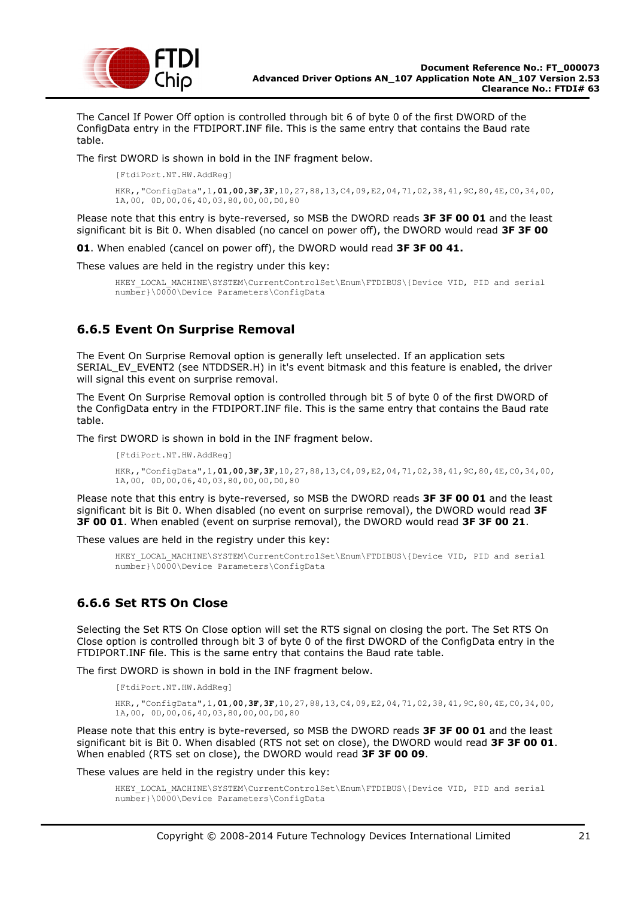

The Cancel If Power Off option is controlled through bit 6 of byte 0 of the first DWORD of the ConfigData entry in the FTDIPORT.INF file. This is the same entry that contains the Baud rate table.

The first DWORD is shown in bold in the INF fragment below.

[FtdiPort.NT.HW.AddReg]

```
HKR,,"ConfigData",1,01,00,3F,3F,10,27,88,13,C4,09,E2,04,71,02,38,41,9C,80,4E,C0,34,00,
1A,00, 0D,00,06,40,03,80,00,00,D0,80
```
Please note that this entry is byte-reversed, so MSB the DWORD reads **3F 3F 00 01** and the least significant bit is Bit 0. When disabled (no cancel on power off), the DWORD would read **3F 3F 00**

**01**. When enabled (cancel on power off), the DWORD would read **3F 3F 00 41.**

These values are held in the registry under this key:

```
HKEY_LOCAL_MACHINE\SYSTEM\CurrentControlSet\Enum\FTDIBUS\{Device VID, PID and serial
number}\0000\Device Parameters\ConfigData
```
### <span id="page-20-0"></span>**6.6.5 Event On Surprise Removal**

The Event On Surprise Removal option is generally left unselected. If an application sets SERIAL\_EV\_EVENT2 (see NTDDSER.H) in it's event bitmask and this feature is enabled, the driver will signal this event on surprise removal.

The Event On Surprise Removal option is controlled through bit 5 of byte 0 of the first DWORD of the ConfigData entry in the FTDIPORT.INF file. This is the same entry that contains the Baud rate table.

The first DWORD is shown in bold in the INF fragment below.

```
[FtdiPort.NT.HW.AddReg]
HKR,,"ConfigData",1,01,00,3F,3F,10,27,88,13,C4,09,E2,04,71,02,38,41,9C,80,4E,C0,34,00,
1A,00, 0D,00,06,40,03,80,00,00,D0,80
```
Please note that this entry is byte-reversed, so MSB the DWORD reads **3F 3F 00 01** and the least significant bit is Bit 0. When disabled (no event on surprise removal), the DWORD would read **3F 3F 00 01**. When enabled (event on surprise removal), the DWORD would read **3F 3F 00 21**.

These values are held in the registry under this key:

```
HKEY_LOCAL_MACHINE\SYSTEM\CurrentControlSet\Enum\FTDIBUS\{Device VID, PID and serial
number}\0000\Device Parameters\ConfigData
```
## <span id="page-20-1"></span>**6.6.6 Set RTS On Close**

Selecting the Set RTS On Close option will set the RTS signal on closing the port. The Set RTS On Close option is controlled through bit 3 of byte 0 of the first DWORD of the ConfigData entry in the FTDIPORT.INF file. This is the same entry that contains the Baud rate table.

The first DWORD is shown in bold in the INF fragment below.

```
[FtdiPort.NT.HW.AddReg]
```

```
HKR,,"ConfigData",1,01,00,3F,3F,10,27,88,13,C4,09,E2,04,71,02,38,41,9C,80,4E,C0,34,00,
1A,00, 0D,00,06,40,03,80,00,00,D0,80
```
Please note that this entry is byte-reversed, so MSB the DWORD reads **3F 3F 00 01** and the least significant bit is Bit 0. When disabled (RTS not set on close), the DWORD would read **3F 3F 00 01**. When enabled (RTS set on close), the DWORD would read **3F 3F 00 09**.

These values are held in the registry under this key:

```
HKEY_LOCAL_MACHINE\SYSTEM\CurrentControlSet\Enum\FTDIBUS\{Device VID, PID and serial
number}\0000\Device Parameters\ConfigData
```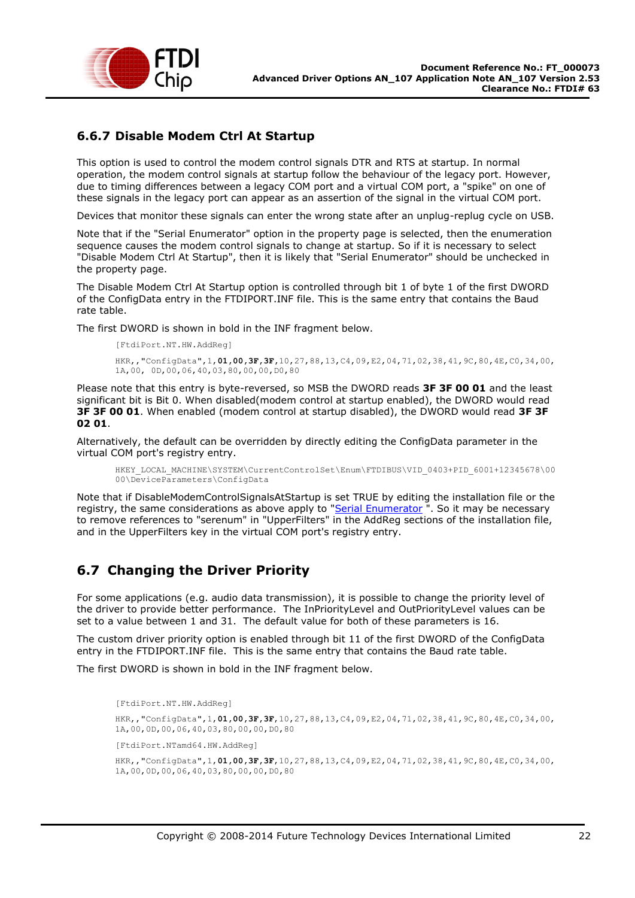

## <span id="page-21-0"></span>**6.6.7 Disable Modem Ctrl At Startup**

This option is used to control the modem control signals DTR and RTS at startup. In normal operation, the modem control signals at startup follow the behaviour of the legacy port. However, due to timing differences between a legacy COM port and a virtual COM port, a "spike" on one of these signals in the legacy port can appear as an assertion of the signal in the virtual COM port.

Devices that monitor these signals can enter the wrong state after an unplug-replug cycle on USB.

Note that if the "Serial Enumerator" option in the property page is selected, then the enumeration sequence causes the modem control signals to change at startup. So if it is necessary to select "Disable Modem Ctrl At Startup", then it is likely that "Serial Enumerator" should be unchecked in the property page.

The Disable Modem Ctrl At Startup option is controlled through bit 1 of byte 1 of the first DWORD of the ConfigData entry in the FTDIPORT.INF file. This is the same entry that contains the Baud rate table.

The first DWORD is shown in bold in the INF fragment below.

```
[FtdiPort.NT.HW.AddReg]
HKR,,"ConfigData",1,01,00,3F,3F,10,27,88,13,C4,09,E2,04,71,02,38,41,9C,80,4E,C0,34,00,
1A,00, 0D,00,06,40,03,80,00,00,D0,80
```
Please note that this entry is byte-reversed, so MSB the DWORD reads **3F 3F 00 01** and the least significant bit is Bit 0. When disabled(modem control at startup enabled), the DWORD would read **3F 3F 00 01**. When enabled (modem control at startup disabled), the DWORD would read **3F 3F 02 01**.

Alternatively, the default can be overridden by directly editing the ConfigData parameter in the virtual COM port's registry entry.

```
HKEY_LOCAL_MACHINE\SYSTEM\CurrentControlSet\Enum\FTDIBUS\VID_0403+PID_6001+12345678\00
00\DeviceParameters\ConfigData
```
Note that if DisableModemControlSignalsAtStartup is set TRUE by editing the installation file or the registry, the same considerations as above apply to ["Serial Enumerator](#page-19-1)". So it may be necessary to remove references to "serenum" in "UpperFilters" in the AddReg sections of the installation file, and in the UpperFilters key in the virtual COM port's registry entry.

## <span id="page-21-1"></span>**6.7 Changing the Driver Priority**

For some applications (e.g. audio data transmission), it is possible to change the priority level of the driver to provide better performance. The InPriorityLevel and OutPriorityLevel values can be set to a value between 1 and 31. The default value for both of these parameters is 16.

The custom driver priority option is enabled through bit 11 of the first DWORD of the ConfigData entry in the FTDIPORT.INF file. This is the same entry that contains the Baud rate table.

The first DWORD is shown in bold in the INF fragment below.

[FtdiPort.NT.HW.AddReg] HKR,,"ConfigData",1,**01,00,3F,3F**,10,27,88,13,C4,09,E2,04,71,02,38,41,9C,80,4E,C0,34,00, 1A,00,0D,00,06,40,03,80,00,00,D0,80 [FtdiPort.NTamd64.HW.AddReg] HKR,,"ConfigData",1,**01,00,3F,3F**,10,27,88,13,C4,09,E2,04,71,02,38,41,9C,80,4E,C0,34,00, 1A,00,0D,00,06,40,03,80,00,00,D0,80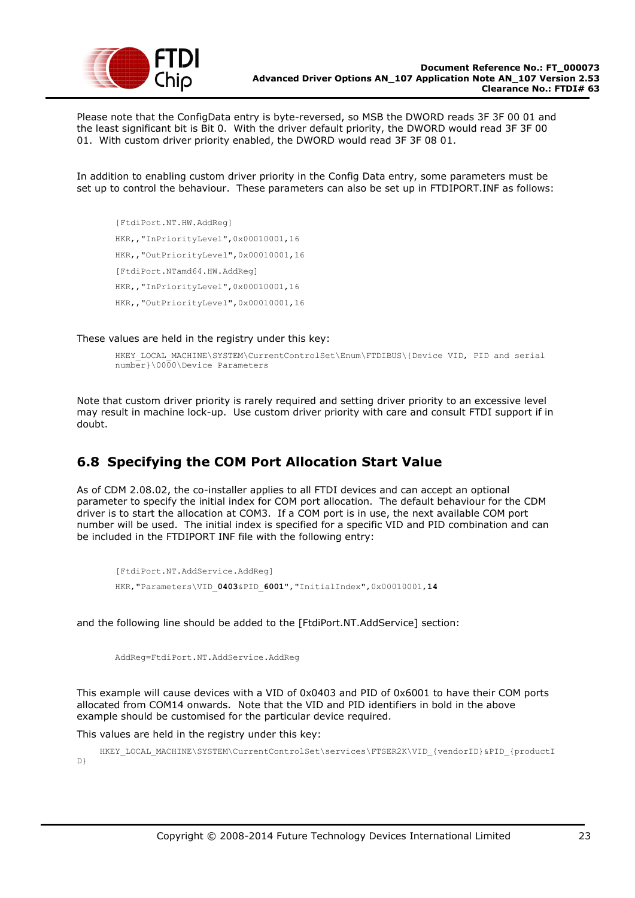

Please note that the ConfigData entry is byte-reversed, so MSB the DWORD reads 3F 3F 00 01 and the least significant bit is Bit 0. With the driver default priority, the DWORD would read 3F 3F 00 01. With custom driver priority enabled, the DWORD would read 3F 3F 08 01.

In addition to enabling custom driver priority in the Config Data entry, some parameters must be set up to control the behaviour. These parameters can also be set up in FTDIPORT.INF as follows:

[FtdiPort.NT.HW.AddReg] HKR,,"InPriorityLevel",0x00010001,16 HKR,,"OutPriorityLevel",0x00010001,16 [FtdiPort.NTamd64.HW.AddReg] HKR,,"InPriorityLevel",0x00010001,16 HKR,,"OutPriorityLevel",0x00010001,16

These values are held in the registry under this key:

```
HKEY_LOCAL_MACHINE\SYSTEM\CurrentControlSet\Enum\FTDIBUS\{Device VID, PID and serial
number}\0000\Device Parameters
```
Note that custom driver priority is rarely required and setting driver priority to an excessive level may result in machine lock-up. Use custom driver priority with care and consult FTDI support if in doubt.

## <span id="page-22-0"></span>**6.8 Specifying the COM Port Allocation Start Value**

As of CDM 2.08.02, the co-installer applies to all FTDI devices and can accept an optional parameter to specify the initial index for COM port allocation. The default behaviour for the CDM driver is to start the allocation at COM3. If a COM port is in use, the next available COM port number will be used. The initial index is specified for a specific VID and PID combination and can be included in the FTDIPORT INF file with the following entry:

```
[FtdiPort.NT.AddService.AddReg]
HKR,"Parameters\VID_0403&PID_6001","InitialIndex",0x00010001,14
```
and the following line should be added to the [FtdiPort.NT.AddService] section:

AddReg=FtdiPort.NT.AddService.AddReg

This example will cause devices with a VID of 0x0403 and PID of 0x6001 to have their COM ports allocated from COM14 onwards. Note that the VID and PID identifiers in bold in the above example should be customised for the particular device required.

This values are held in the registry under this key:

HKEY\_LOCAL\_MACHINE\SYSTEM\CurrentControlSet\services\FTSER2K\VID\_{vendorID}&PID\_{productI D}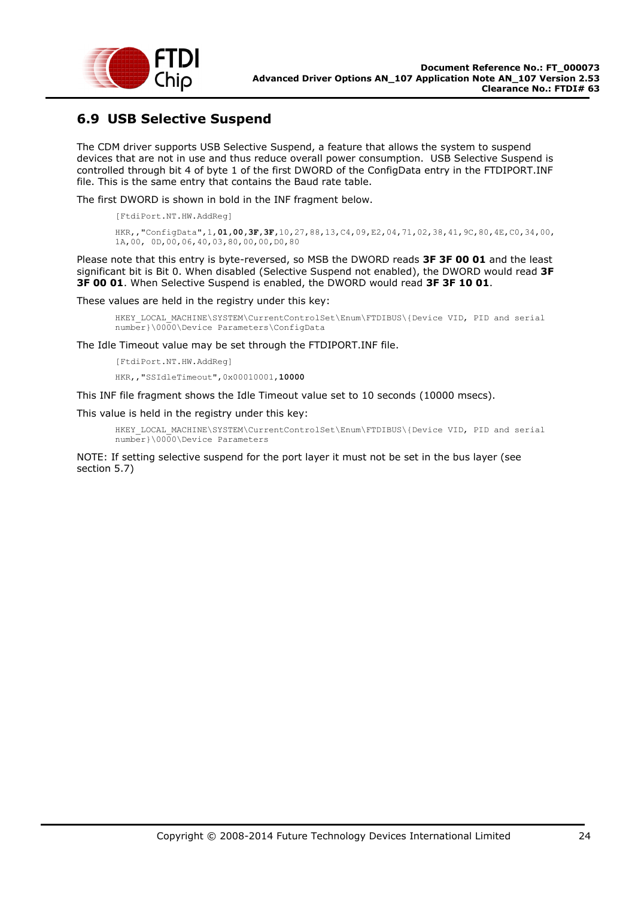

## <span id="page-23-0"></span>**6.9 USB Selective Suspend**

The CDM driver supports USB Selective Suspend, a feature that allows the system to suspend devices that are not in use and thus reduce overall power consumption. USB Selective Suspend is controlled through bit 4 of byte 1 of the first DWORD of the ConfigData entry in the FTDIPORT.INF file. This is the same entry that contains the Baud rate table.

The first DWORD is shown in bold in the INF fragment below.

[FtdiPort.NT.HW.AddReg]

```
HKR,,"ConfigData",1,01,00,3F,3F,10,27,88,13,C4,09,E2,04,71,02,38,41,9C,80,4E,C0,34,00,
1A,00, 0D,00,06,40,03,80,00,00,D0,80
```
Please note that this entry is byte-reversed, so MSB the DWORD reads **3F 3F 00 01** and the least significant bit is Bit 0. When disabled (Selective Suspend not enabled), the DWORD would read **3F 3F 00 01**. When Selective Suspend is enabled, the DWORD would read **3F 3F 10 01**.

These values are held in the registry under this key:

HKEY\_LOCAL\_MACHINE\SYSTEM\CurrentControlSet\Enum\FTDIBUS\{Device VID, PID and serial number}\0000\Device Parameters\ConfigData

The Idle Timeout value may be set through the FTDIPORT.INF file.

[FtdiPort.NT.HW.AddReg]

HKR,,"SSIdleTimeout",0x00010001,**10000**

This INF file fragment shows the Idle Timeout value set to 10 seconds (10000 msecs).

This value is held in the registry under this key:

HKEY\_LOCAL\_MACHINE\SYSTEM\CurrentControlSet\Enum\FTDIBUS\{Device VID, PID and serial number}\0000\Device Parameters

NOTE: If setting selective suspend for the port layer it must not be set in the bus layer (see section 5.7)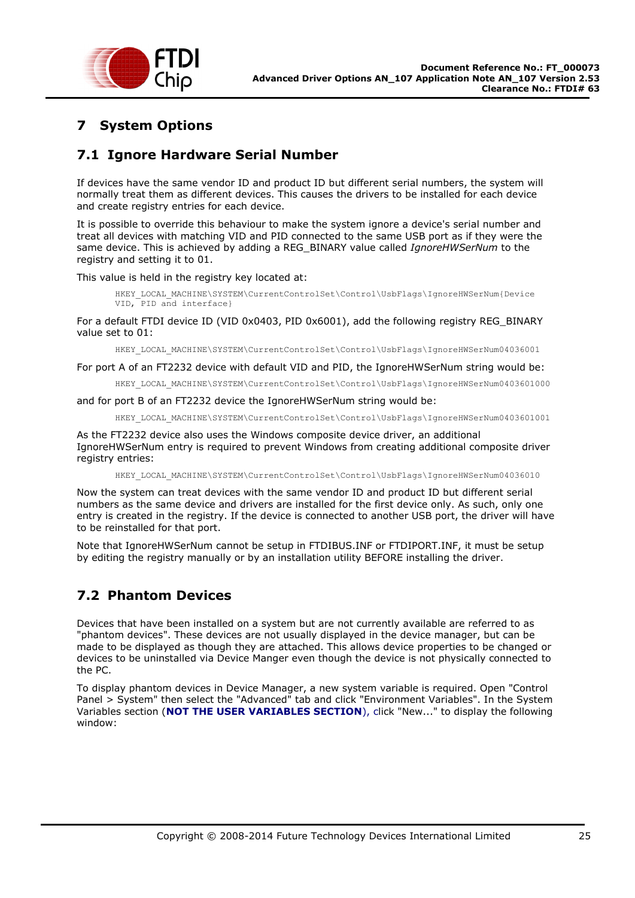

# <span id="page-24-0"></span>**7 System Options**

## <span id="page-24-1"></span>**7.1 Ignore Hardware Serial Number**

If devices have the same vendor ID and product ID but different serial numbers, the system will normally treat them as different devices. This causes the drivers to be installed for each device and create registry entries for each device.

It is possible to override this behaviour to make the system ignore a device's serial number and treat all devices with matching VID and PID connected to the same USB port as if they were the same device. This is achieved by adding a REG\_BINARY value called *IgnoreHWSerNum* to the registry and setting it to 01.

This value is held in the registry key located at:

HKEY\_LOCAL\_MACHINE\SYSTEM\CurrentControlSet\Control\UsbFlags\IgnoreHWSerNum{Device VID, PID and interface}

For a default FTDI device ID (VID 0x0403, PID 0x6001), add the following registry REG\_BINARY value set to 01:

HKEY\_LOCAL\_MACHINE\SYSTEM\CurrentControlSet\Control\UsbFlags\IgnoreHWSerNum04036001

For port A of an FT2232 device with default VID and PID, the IgnoreHWSerNum string would be:

HKEY\_LOCAL\_MACHINE\SYSTEM\CurrentControlSet\Control\UsbFlags\IgnoreHWSerNum0403601000

and for port B of an FT2232 device the IgnoreHWSerNum string would be:

HKEY\_LOCAL\_MACHINE\SYSTEM\CurrentControlSet\Control\UsbFlags\IgnoreHWSerNum0403601001

As the FT2232 device also uses the Windows composite device driver, an additional IgnoreHWSerNum entry is required to prevent Windows from creating additional composite driver registry entries:

HKEY\_LOCAL\_MACHINE\SYSTEM\CurrentControlSet\Control\UsbFlags\IgnoreHWSerNum04036010

Now the system can treat devices with the same vendor ID and product ID but different serial numbers as the same device and drivers are installed for the first device only. As such, only one entry is created in the registry. If the device is connected to another USB port, the driver will have to be reinstalled for that port.

Note that IgnoreHWSerNum cannot be setup in FTDIBUS.INF or FTDIPORT.INF, it must be setup by editing the registry manually or by an installation utility BEFORE installing the driver.

# <span id="page-24-2"></span>**7.2 Phantom Devices**

Devices that have been installed on a system but are not currently available are referred to as "phantom devices". These devices are not usually displayed in the device manager, but can be made to be displayed as though they are attached. This allows device properties to be changed or devices to be uninstalled via Device Manger even though the device is not physically connected to the PC.

To display phantom devices in Device Manager, a new system variable is required. Open "Control Panel > System" then select the "Advanced" tab and click "Environment Variables". In the System Variables section (**NOT THE USER VARIABLES SECTION**), click "New..." to display the following window: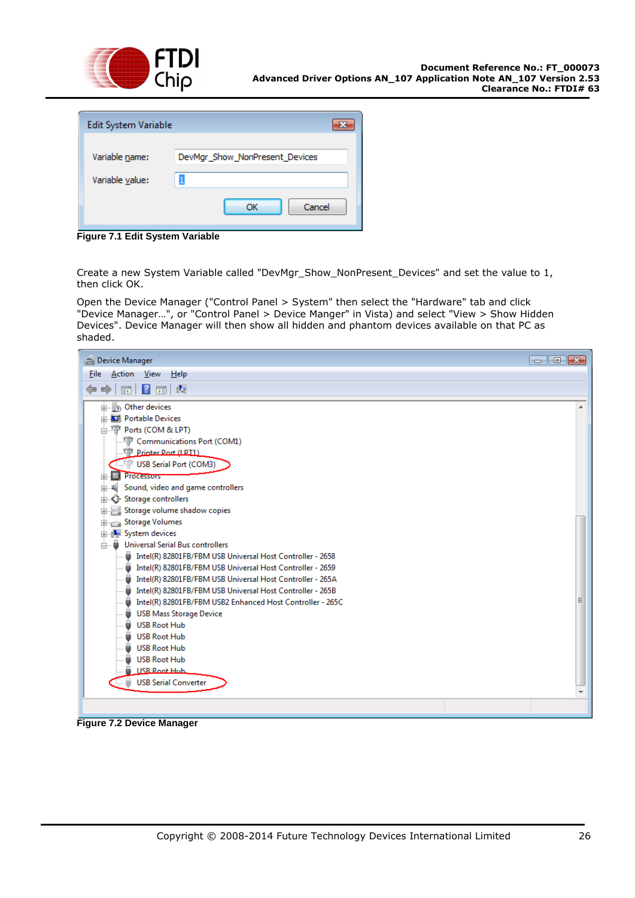

| Edit System Variable |                                |
|----------------------|--------------------------------|
| Variable name:       | DevMgr_Show_NonPresent_Devices |
| Variable value:      |                                |
|                      | Cancel<br>ОК                   |

**Figure 7.1 Edit System Variable**

Create a new System Variable called "DevMgr\_Show\_NonPresent\_Devices" and set the value to 1, then click OK.

Open the Device Manager ("Control Panel > System" then select the "Hardware" tab and click "Device Manager…", or "Control Panel > Device Manger" in Vista) and select "View > Show Hidden Devices". Device Manager will then show all hidden and phantom devices available on that PC as shaded.



**Figure 7.2 Device Manager**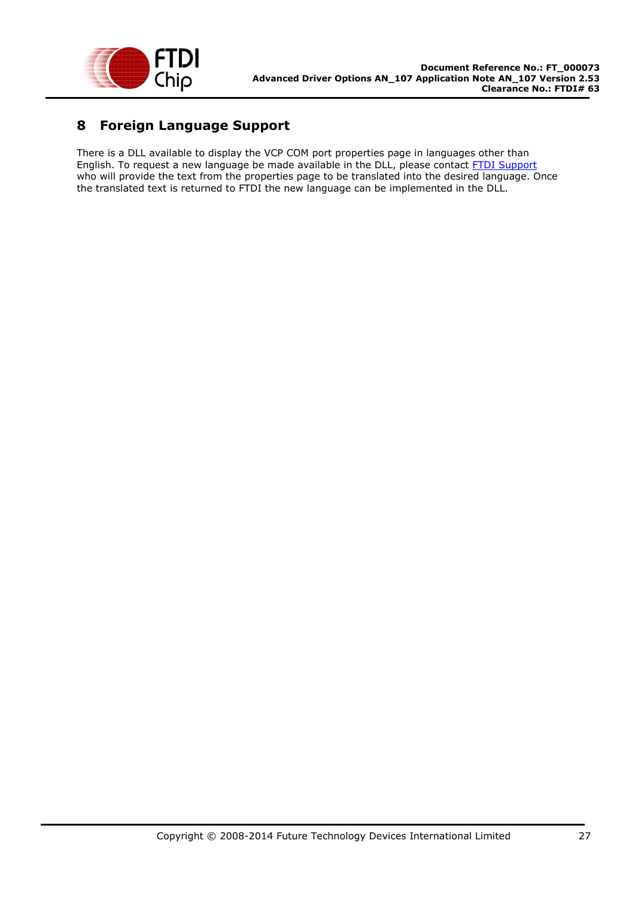

# <span id="page-26-0"></span>**8 Foreign Language Support**

There is a DLL available to display the VCP COM port properties page in languages other than English. To request a new language be made available in the DLL, please contact [FTDI Support](mailto:support1@ftdichip.com) who will provide the text from the properties page to be translated into the desired language. Once the translated text is returned to FTDI the new language can be implemented in the DLL.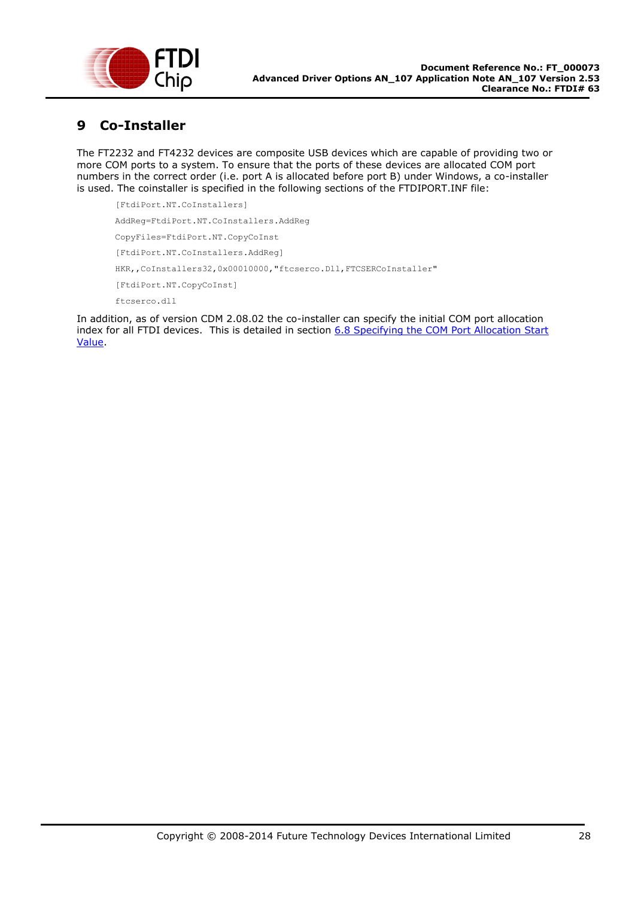

## <span id="page-27-0"></span>**9 Co-Installer**

The FT2232 and FT4232 devices are composite USB devices which are capable of providing two or more COM ports to a system. To ensure that the ports of these devices are allocated COM port numbers in the correct order (i.e. port A is allocated before port B) under Windows, a co-installer is used. The coinstaller is specified in the following sections of the FTDIPORT.INF file:

```
[FtdiPort.NT.CoInstallers]
AddReg=FtdiPort.NT.CoInstallers.AddReg
CopyFiles=FtdiPort.NT.CopyCoInst
[FtdiPort.NT.CoInstallers.AddReg]
HKR,, CoInstallers32,0x00010000, "ftcserco.Dll, FTCSERCoInstaller"
[FtdiPort.NT.CopyCoInst]
ftcserco.dll
```
In addition, as of version CDM 2.08.02 the co-installer can specify the initial COM port allocation index for all FTDI devices. This is detailed in section [6.8 Specifying the COM Port Allocation](#page-22-0) Start [Value.](#page-22-0)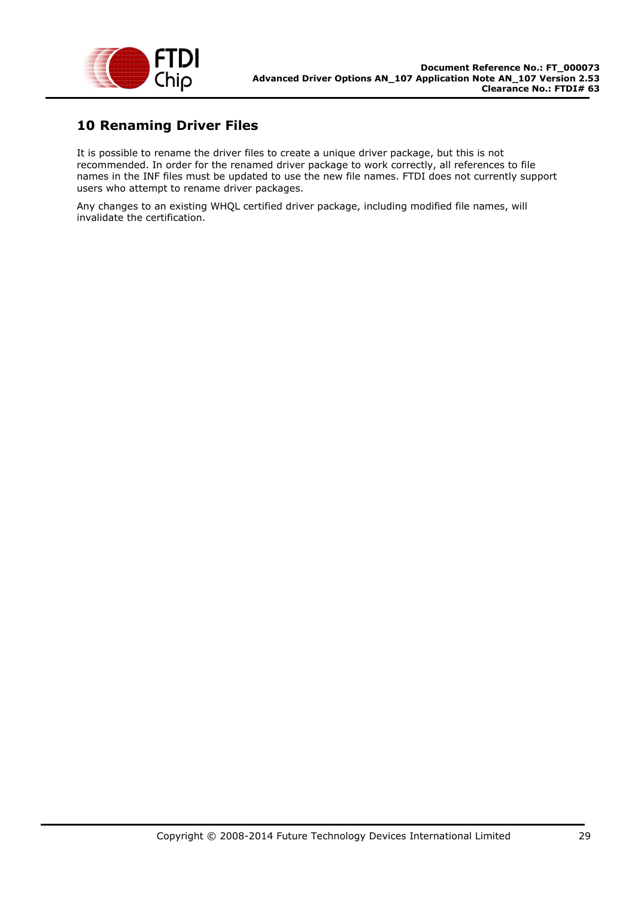

## <span id="page-28-0"></span>**10 Renaming Driver Files**

It is possible to rename the driver files to create a unique driver package, but this is not recommended. In order for the renamed driver package to work correctly, all references to file names in the INF files must be updated to use the new file names. FTDI does not currently support users who attempt to rename driver packages.

Any changes to an existing WHQL certified driver package, including modified file names, will invalidate the certification.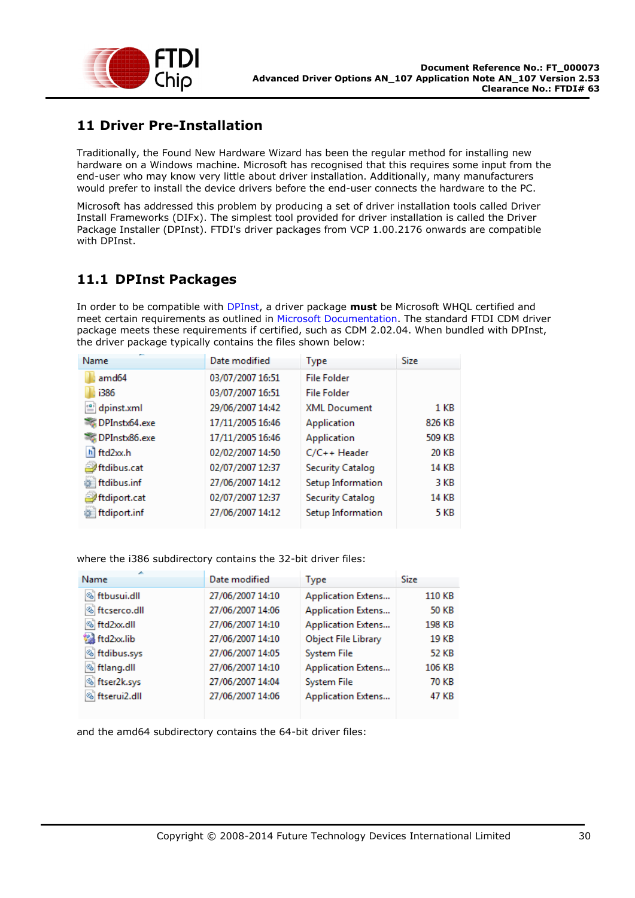

## <span id="page-29-0"></span>**11 Driver Pre-Installation**

Traditionally, the Found New Hardware Wizard has been the regular method for installing new hardware on a Windows machine. Microsoft has recognised that this requires some input from the end-user who may know very little about driver installation. Additionally, many manufacturers would prefer to install the device drivers before the end-user connects the hardware to the PC.

Microsoft has addressed this problem by producing a set of driver installation tools called Driver Install Frameworks (DIFx). The simplest tool provided for driver installation is called the Driver Package Installer (DPInst). FTDI's driver packages from VCP 1.00.2176 onwards are compatible with DPInst.

## <span id="page-29-1"></span>**11.1 DPInst Packages**

In order to be compatible with DPInst, a driver package **must** be Microsoft WHQL certified and meet certain requirements as outlined in Microsoft Documentation. The standard FTDI CDM driver package meets these requirements if certified, such as CDM 2.02.04. When bundled with DPInst, the driver package typically contains the files shown below:

| Name                             | Date modified    | <b>Type</b>             | Size        |
|----------------------------------|------------------|-------------------------|-------------|
| amd <sub>64</sub>                | 03/07/2007 16:51 | <b>File Folder</b>      |             |
| i386                             | 03/07/2007 16:51 | <b>File Folder</b>      |             |
| $\stackrel{\circ}{=}$ dpinst.xml | 29/06/2007 14:42 | <b>XML Document</b>     | 1 KB        |
| DPInstx64.exe                    | 17/11/2005 16:46 | Application             | 826 KB      |
| DPInstx86.exe                    | 17/11/2005 16:46 | Application             | 509 KB      |
| h ftd2xx.h                       | 02/02/2007 14:50 | C/C++ Header            | 20 KB       |
| ftdibus.cat                      | 02/07/2007 12:37 | <b>Security Catalog</b> | 14 KB       |
| ftdibus.inf                      | 27/06/2007 14:12 | Setup Information       | 3 KB        |
| ftdiport.cat                     | 02/07/2007 12:37 | <b>Security Catalog</b> | 14 KB       |
| ftdiport.inf                     | 27/06/2007 14:12 | Setup Information       | <b>5 KB</b> |

where the i386 subdirectory contains the 32-bit driver files:

| Name                     | Date modified    | Type                       | <b>Size</b> |
|--------------------------|------------------|----------------------------|-------------|
| <b>S</b> ftbusui.dll     | 27/06/2007 14:10 | <b>Application Extens</b>  | 110 KB      |
| <b>S</b> ftcserco.dll    | 27/06/2007 14:06 | <b>Application Extens</b>  | 50 KB       |
| S ftd2xx.dll             | 27/06/2007 14:10 | <b>Application Extens</b>  | 198 KB      |
| td2xx.lib                | 27/06/2007 14:10 | <b>Object File Library</b> | 19 KB       |
| <b>Stdibus.sys</b>       | 27/06/2007 14:05 | <b>System File</b>         | 52 KB       |
| <b>S</b> ftlang.dll      | 27/06/2007 14:10 | <b>Application Extens</b>  | 106 KB      |
| <sup>®</sup> ftser2k.sys | 27/06/2007 14:04 | <b>System File</b>         | 70 KB       |
| <b>S</b> ftserui2.dll    | 27/06/2007 14:06 | <b>Application Extens</b>  | 47 KB       |

and the amd64 subdirectory contains the 64-bit driver files: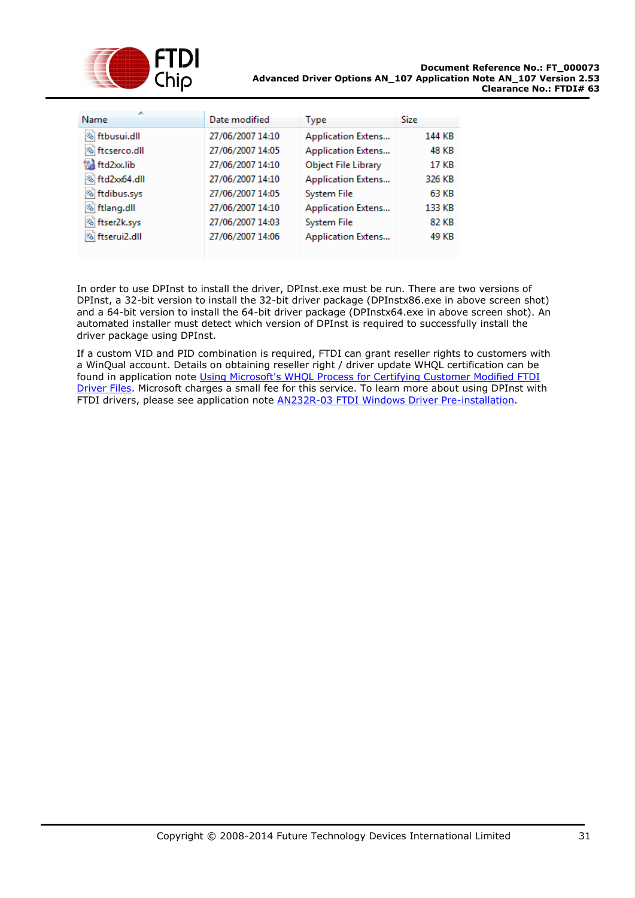

| <b>S</b> ftbusui.dll<br>27/06/2007 14:10<br><b>Application Extens</b>  |              |
|------------------------------------------------------------------------|--------------|
|                                                                        | 144 KB       |
| <b>S</b> ftcserco.dll<br><b>Application Extens</b><br>27/06/2007 14:05 | 48 KB        |
| td2xx.lib<br>27/06/2007 14:10<br><b>Object File Library</b>            | <b>17 KB</b> |
| § ftd2xx64.dll<br><b>Application Extens</b><br>27/06/2007 14:10        | 326 KB       |
| ▧<br>ftdibus.sys<br>27/06/2007 14:05<br><b>System File</b>             | 63 KB        |
| <b>S</b> ftlang.dll<br>27/06/2007 14:10<br><b>Application Extens</b>   | 133 KB       |
| ftser2k.sys<br>▧<br>27/06/2007 14:03<br><b>System File</b>             | 82 KB        |
| <b>S</b> ftserui2.dll<br>27/06/2007 14:06<br><b>Application Extens</b> | 49 KB        |

In order to use DPInst to install the driver, DPInst.exe must be run. There are two versions of DPInst, a 32-bit version to install the 32-bit driver package (DPInstx86.exe in above screen shot) and a 64-bit version to install the 64-bit driver package (DPInstx64.exe in above screen shot). An automated installer must detect which version of DPInst is required to successfully install the driver package using DPInst.

If a custom VID and PID combination is required, FTDI can grant reseller rights to customers with a WinQual account. Details on obtaining reseller right / driver update WHQL certification can be found in application note [Using Microsoft's WHQL Process for Certifying Customer Modified FTDI](http://ftdichip.com/Documents/AppNotes/AN_WHQL_Certified_Driver_Process_v100(FT_000063).pdf)  [Driver Files.](http://ftdichip.com/Documents/AppNotes/AN_WHQL_Certified_Driver_Process_v100(FT_000063).pdf) Microsoft charges a small fee for this service. To learn more about using DPInst with FTDI drivers, please see application note [AN232R-03 FTDI Windows Driver Pre-installation.](http://www.ftdichip.com/Documents/AppNotes/AN232R-03_DriverPreInstallation.pdf)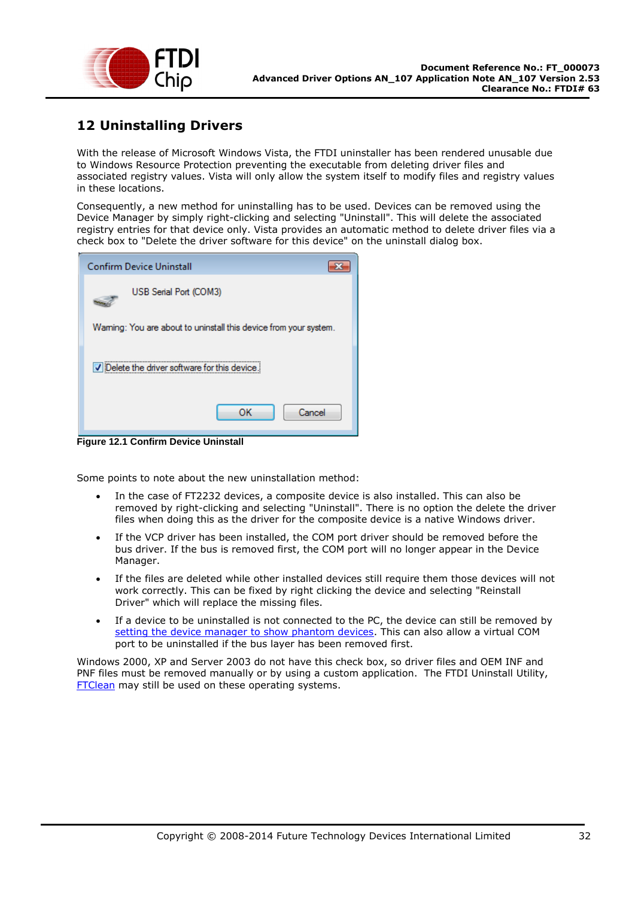

## <span id="page-31-0"></span>**12 Uninstalling Drivers**

With the release of Microsoft Windows Vista, the FTDI uninstaller has been rendered unusable due to Windows Resource Protection preventing the executable from deleting driver files and associated registry values. Vista will only allow the system itself to modify files and registry values in these locations.

Consequently, a new method for uninstalling has to be used. Devices can be removed using the Device Manager by simply right-clicking and selecting "Uninstall". This will delete the associated registry entries for that device only. Vista provides an automatic method to delete driver files via a check box to "Delete the driver software for this device" on the uninstall dialog box.

| <b>Confirm Device Uninstall</b>                                  |  |  |
|------------------------------------------------------------------|--|--|
| USB Serial Port (COM3)                                           |  |  |
| Waming: You are about to uninstall this device from your system. |  |  |
| Delete the driver software for this device.                      |  |  |
| Cancel<br>ок                                                     |  |  |

**Figure 12.1 Confirm Device Uninstall**

Some points to note about the new uninstallation method:

- In the case of FT2232 devices, a composite device is also installed. This can also be removed by right-clicking and selecting "Uninstall". There is no option the delete the driver files when doing this as the driver for the composite device is a native Windows driver.
- If the VCP driver has been installed, the COM port driver should be removed before the bus driver. If the bus is removed first, the COM port will no longer appear in the Device Manager.
- If the files are deleted while other installed devices still require them those devices will not work correctly. This can be fixed by right clicking the device and selecting "Reinstall Driver" which will replace the missing files.
- If a device to be uninstalled is not connected to the PC, the device can still be removed by [setting the device manager to show phantom devices.](#page-24-2) This can also allow a virtual COM port to be uninstalled if the bus layer has been removed first.

Windows 2000, XP and Server 2003 do not have this check box, so driver files and OEM INF and PNF files must be removed manually or by using a custom application. The FTDI Uninstall Utility, [FTClean](http://www.ftdichip.com/Resources/Utilities/FTClean.zip) may still be used on these operating systems.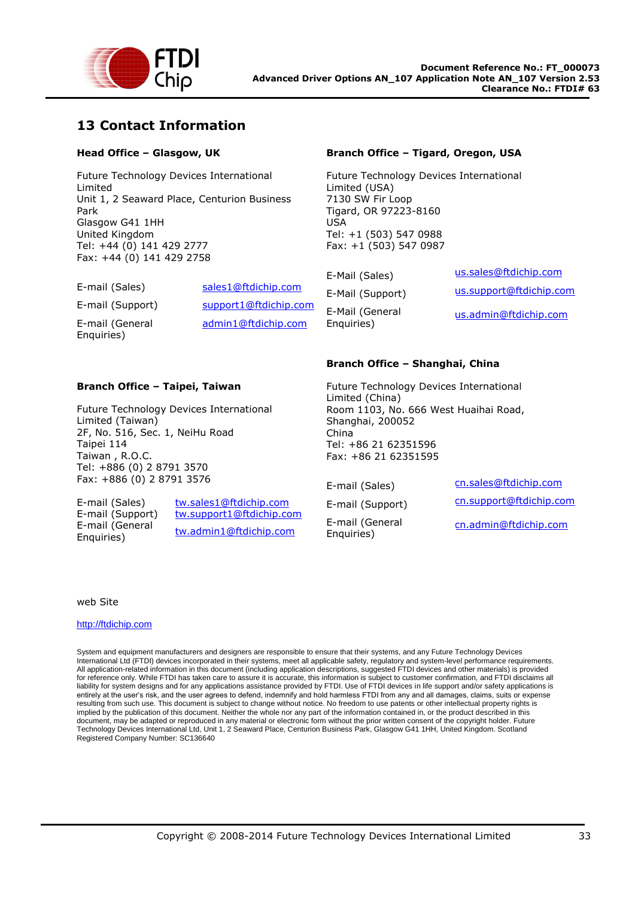

## <span id="page-32-0"></span>**13 Contact Information**

### **Head Office – Glasgow, UK**

Future Technology Devices International Limited Unit 1, 2 Seaward Place, Centurion Business Park Glasgow G41 1HH United Kingdom Tel: +44 (0) 141 429 2777 Fax: +44 (0) 141 429 2758

| E-mail (Sales)                | sales1@ftdichip.com   |
|-------------------------------|-----------------------|
| E-mail (Support)              | support1@ftdichip.com |
| E-mail (General<br>Enquiries) | admin1@ftdichip.com   |

**Branch Office – Taipei, Taiwan**

2F, No. 516, Sec. 1, NeiHu Road

Tel: +886 (0) 2 8791 3570

Future Technology Devices International

#### **Branch Office – Tigard, Oregon, USA**

Future Technology Devices International Limited (USA) 7130 SW Fir Loop Tigard, OR 97223-8160 USA Tel: +1 (503) 547 0988 Fax: +1 (503) 547 0987

E-Mail (General Enquiries)

E-Mail (Sales) [us.sales@ftdichip.com](mailto:us.sales@ftdichip.com) E-Mail (Support) [us.support@ftdichip.com](mailto:us.support@ftdichip.com) [us.admin@ftdichip.com](mailto:us.admin@ftdichip.com)

#### **Branch Office – Shanghai, China**

Future Technology Devices International Limited (China) Room 1103, No. 666 West Huaihai Road, Shanghai, 200052 China Tel: +86 21 62351596 Fax: +86 21 62351595

E-mail (General Enquiries)

E-mail (Sales) [cn.sales@ftdichip.com](mailto:cn.sales@ftdichip.com) E-mail (Support) [cn.support@ftdichip.com](mailto:cn.support@ftdichip.com) [cn.admin@ftdichip.com](mailto:cn.admin@ftdichip.com)

Fax: +886 (0) 2 8791 3576 E-mail (Sales) [tw.sales1@ftdichip.com](mailto:tw.sales1@ftdichip.com)

E-mail (General

Limited (Taiwan)

Taipei 114 Taiwan , R.O.C.

E-mail (Support) [tw.support1@ftdichip.com](mailto:tw.support1@ftdichip.com) Enquiries) [tw.admin1@ftdichip.com](mailto:tw.admin1@ftdichip.com)

web Site

#### [http://ftdichip.com](http://ftdichip.com/)

System and equipment manufacturers and designers are responsible to ensure that their systems, and any Future Technology Devices International Ltd (FTDI) devices incorporated in their systems, meet all applicable safety, regulatory and system-level performance requirements. All application-related information in this document (including application descriptions, suggested FTDI devices and other materials) is provided for reference only. While FTDI has taken care to assure it is accurate, this information is subject to customer confirmation, and FTDI disclaims all liability for system designs and for any applications assistance provided by FTDI. Use of FTDI devices in life support and/or safety applications is entirely at the user's risk, and the user agrees to defend, indemnify and hold harmless FTDI from any and all damages, claims, suits or expense resulting from such use. This document is subject to change without notice. No freedom to use patents or other intellectual property rights is implied by the publication of this document. Neither the whole nor any part of the information contained in, or the product described in this document, may be adapted or reproduced in any material or electronic form without the prior written consent of the copyright holder. Future Technology Devices International Ltd, Unit 1, 2 Seaward Place, Centurion Business Park, Glasgow G41 1HH, United Kingdom. Scotland Registered Company Number: SC136640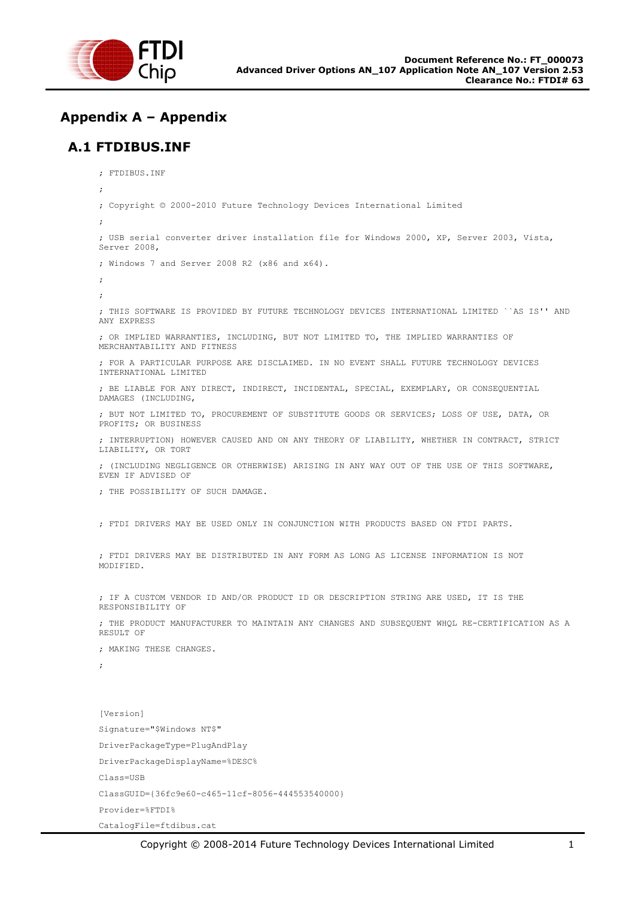

# <span id="page-34-0"></span>**Appendix A – Appendix**

## <span id="page-34-1"></span>**A.1 FTDIBUS.INF**

```
; FTDIBUS.INF
; 
; Copyright © 2000-2010 Future Technology Devices International Limited
; 
; USB serial converter driver installation file for Windows 2000, XP, Server 2003, Vista, 
Server 2008,
; Windows 7 and Server 2008 R2 (x86 and x64).
; 
; 
; THIS SOFTWARE IS PROVIDED BY FUTURE TECHNOLOGY DEVICES INTERNATIONAL LIMITED ``AS IS'' AND 
ANY EXPRESS 
; OR IMPLIED WARRANTIES, INCLUDING, BUT NOT LIMITED TO, THE IMPLIED WARRANTIES OF 
MERCHANTABILITY AND FITNESS
; FOR A PARTICULAR PURPOSE ARE DISCLAIMED. IN NO EVENT SHALL FUTURE TECHNOLOGY DEVICES 
INTERNATIONAL LIMITED
; BE LIABLE FOR ANY DIRECT, INDIRECT, INCIDENTAL, SPECIAL, EXEMPLARY, OR CONSEQUENTIAL 
DAMAGES (INCLUDING, 
; BUT NOT LIMITED TO, PROCUREMENT OF SUBSTITUTE GOODS OR SERVICES; LOSS OF USE, DATA, OR 
PROFITS; OR BUSINESS
; INTERRUPTION) HOWEVER CAUSED AND ON ANY THEORY OF LIABILITY, WHETHER IN CONTRACT, STRICT 
LIABILITY, OR TORT
; (INCLUDING NEGLIGENCE OR OTHERWISE) ARISING IN ANY WAY OUT OF THE USE OF THIS SOFTWARE, 
EVEN IF ADVISED OF
; THE POSSIBILITY OF SUCH DAMAGE. 
; FTDI DRIVERS MAY BE USED ONLY IN CONJUNCTION WITH PRODUCTS BASED ON FTDI PARTS.
; FTDI DRIVERS MAY BE DISTRIBUTED IN ANY FORM AS LONG AS LICENSE INFORMATION IS NOT 
MODIFIED.
; IF A CUSTOM VENDOR ID AND/OR PRODUCT ID OR DESCRIPTION STRING ARE USED, IT IS THE 
RESPONSIBILITY OF
; THE PRODUCT MANUFACTURER TO MAINTAIN ANY CHANGES AND SUBSEQUENT WHQL RE-CERTIFICATION AS A 
RESULT OF
; MAKING THESE CHANGES.
;
[Version]
Signature="$Windows NT$"
DriverPackageType=PlugAndPlay
DriverPackageDisplayName=%DESC%
Class=USB
ClassGUID={36fc9e60-c465-11cf-8056-444553540000}
Provider=%FTDI%
```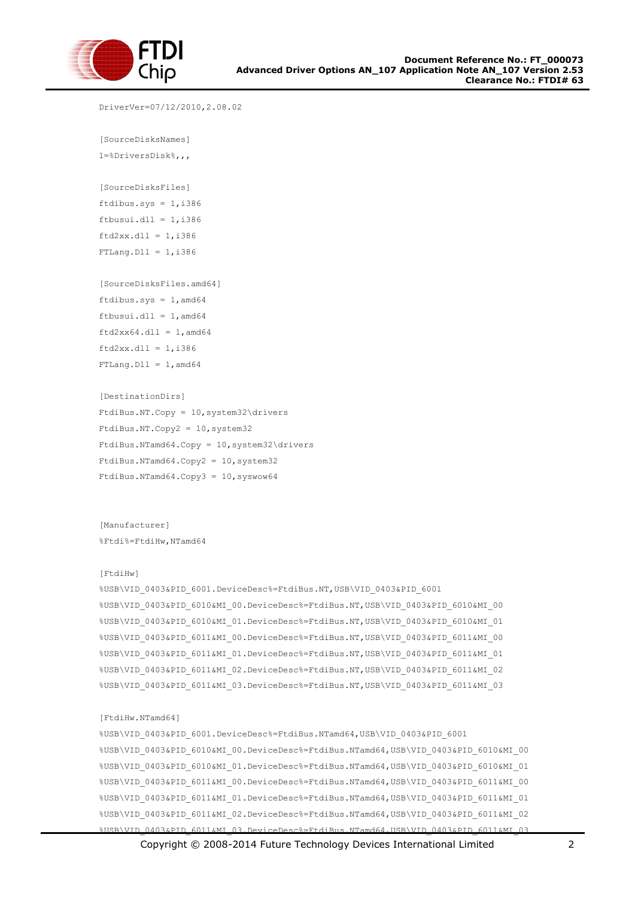

```
[FtdiHw.NTamd64]
%USB\VID_0403&PID_6001.DeviceDesc%=FtdiBus.NTamd64,USB\VID_0403&PID_6001
%USB\VID_0403&PID_6010&MI_00.DeviceDesc%=FtdiBus.NTamd64,USB\VID_0403&PID_6010&MI_00
%USB\VID_0403&PID_6010&MI_01.DeviceDesc%=FtdiBus.NTamd64,USB\VID_0403&PID_6010&MI_01
%USB\VID_0403&PID_6011&MI_00.DeviceDesc%=FtdiBus.NTamd64,USB\VID_0403&PID_6011&MI_00
%USB\VID_0403&PID_6011&MI_01.DeviceDesc%=FtdiBus.NTamd64,USB\VID_0403&PID_6011&MI_01
%USB\VID_0403&PID_6011&MI_02.DeviceDesc%=FtdiBus.NTamd64,USB\VID_0403&PID_6011&MI_02
%USB\VID_0403&PID_6011&MI_03.DeviceDesc%=FtdiBus.NTamd64,USB\VID_0403&PID_6011&MI_03
```

```
[FtdiHw]
%USB\VID_0403&PID_6001.DeviceDesc%=FtdiBus.NT,USB\VID_0403&PID_6001
%USB\VID_0403&PID_6010&MI_00.DeviceDesc%=FtdiBus.NT,USB\VID_0403&PID_6010&MI_00
%USB\VID_0403&PID_6010&MI_01.DeviceDesc%=FtdiBus.NT,USB\VID_0403&PID_6010&MI_01
%USB\VID_0403&PID_6011&MI_00.DeviceDesc%=FtdiBus.NT,USB\VID_0403&PID_6011&MI_00
%USB\VID_0403&PID_6011&MI_01.DeviceDesc%=FtdiBus.NT,USB\VID_0403&PID_6011&MI_01
%USB\VID_0403&PID_6011&MI_02.DeviceDesc%=FtdiBus.NT,USB\VID_0403&PID_6011&MI_02
%USB\VID_0403&PID_6011&MI_03.DeviceDesc%=FtdiBus.NT,USB\VID_0403&PID_6011&MI_03
```

```
[Manufacturer]
%Ftdi%=FtdiHw,NTamd64
```

```
[DestinationDirs]
FtdiBus.NT.Copy = 10,system32\drivers
FtdiBus.NT.Copy2 = 10,system32
FtdiBus.NTamd64.Copy = 10,system32\drivers
FtdiBus.NTamd64.Copy2 = 10,system32
FtdiBus.NTamd64.Copy3 = 10,syswow64
```
[SourceDisksFiles.amd64] ftdibus.sys =  $1$ , amd64 ftbusui.dll =  $1$ , amd64  $ftd2xx64.dl1 = 1,amd64$  $ftd2xx.dl1 = 1, i386$  $FTLang.D11 = 1, and64$ 

ftbusui.dll =  $1, i386$  $ftd2xx.dll = 1, i386$  $FTLang.D11 = 1, i386$ 

```
[SourceDisksNames]
1=%DriversDisk%,,,
```
[SourceDisksFiles] ftdibus.sys =  $1, i386$ 

DriverVer=07/12/2010,2.08.02

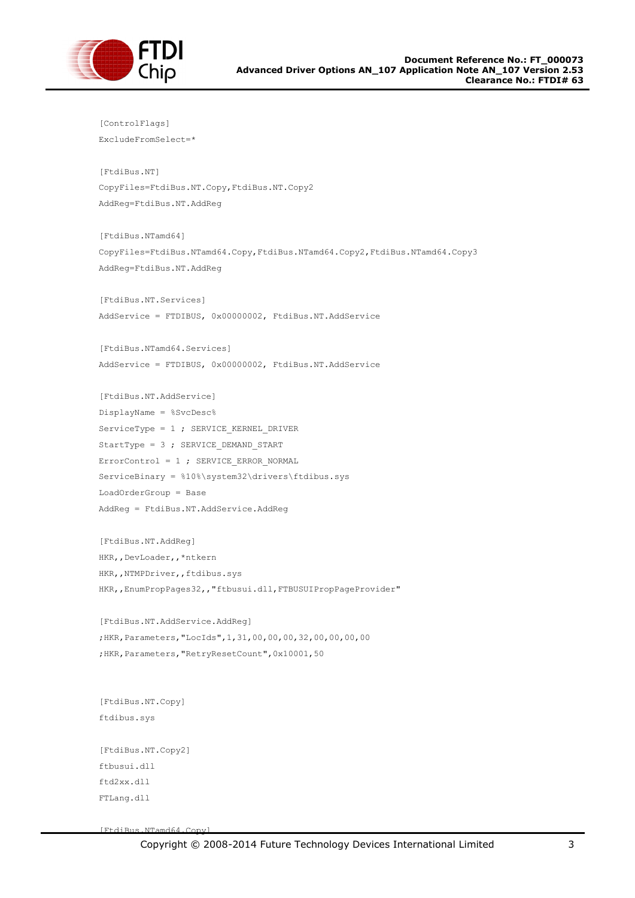

```
[ControlFlags]
ExcludeFromSelect=*
[FtdiBus.NT]
CopyFiles=FtdiBus.NT.Copy,FtdiBus.NT.Copy2
AddReg=FtdiBus.NT.AddReg
[FtdiBus.NTamd64]
CopyFiles=FtdiBus.NTamd64.Copy,FtdiBus.NTamd64.Copy2,FtdiBus.NTamd64.Copy3
AddReg=FtdiBus.NT.AddReg
[FtdiBus.NT.Services]
AddService = FTDIBUS, 0x00000002, FtdiBus.NT.AddService
[FtdiBus.NTamd64.Services]
AddService = FTDIBUS, 0x00000002, FtdiBus.NT.AddService
[FtdiBus.NT.AddService]
DisplayName = %SvcDesc%
ServiceType = 1; SERVICE KERNEL DRIVER
StartType = 3 ; SERVICE DEMAND START
ErrorControl = 1 ; SERVICE_ERROR_NORMAL
ServiceBinary = %10%\system32\drivers\ftdibus.sys
LoadOrderGroup = Base
AddReg = FtdiBus.NT.AddService.AddReg
[FtdiBus.NT.AddReg]
HKR,,DevLoader,,*ntkern
HKR,,NTMPDriver,,ftdibus.sys
HKR,, EnumPropPages32,, "ftbusui.dll, FTBUSUIPropPageProvider"
[FtdiBus.NT.AddService.AddReg]
;HKR,Parameters,"LocIds",1,31,00,00,00,32,00,00,00,00
;HKR,Parameters,"RetryResetCount",0x10001,50
[FtdiBus.NT.Copy]
ftdibus.sys
[FtdiBus.NT.Copy2]
ftbusui.dll
ftd2xx.dll
FTLang.dll
```
[FtdiBus.NTamd64.Copy]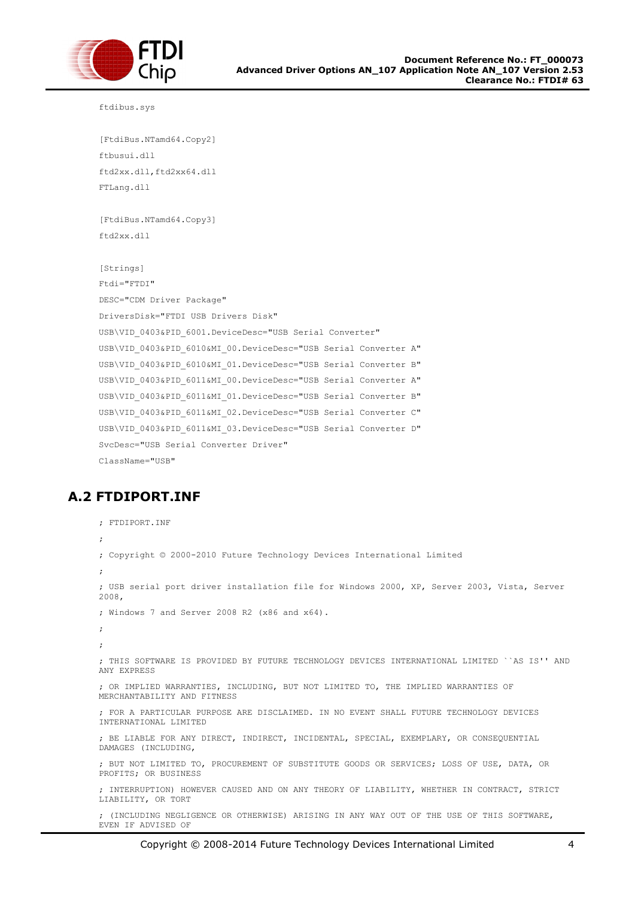

ftdibus.sys

```
[FtdiBus.NTamd64.Copy2]
ftbusui.dll
ftd2xx.dll,ftd2xx64.dll
FTLang.dll
```
[FtdiBus.NTamd64.Copy3] ftd2xx.dll

```
[Strings]
Ftdi="FTDI"
DESC="CDM Driver Package"
DriversDisk="FTDI USB Drivers Disk"
USB\VID_0403&PID_6001.DeviceDesc="USB Serial Converter"
USB\VID_0403&PID_6010&MI_00.DeviceDesc="USB Serial Converter A"
USB\VID_0403&PID_6010&MI_01.DeviceDesc="USB Serial Converter B"
USB\VID_0403&PID_6011&MI_00.DeviceDesc="USB Serial Converter A"
USB\VID_0403&PID_6011&MI_01.DeviceDesc="USB Serial Converter B"
USB\VID_0403&PID_6011&MI_02.DeviceDesc="USB Serial Converter C"
USB\VID_0403&PID_6011&MI_03.DeviceDesc="USB Serial Converter D"
SvcDesc="USB Serial Converter Driver"
ClassName="USB"
```
## <span id="page-37-0"></span>**A.2 FTDIPORT.INF**

```
; FTDIPORT.INF
; 
; Copyright © 2000-2010 Future Technology Devices International Limited
;
; USB serial port driver installation file for Windows 2000, XP, Server 2003, Vista, Server 
2008,
; Windows 7 and Server 2008 R2 (x86 and x64).
; 
; 
; THIS SOFTWARE IS PROVIDED BY FUTURE TECHNOLOGY DEVICES INTERNATIONAL LIMITED ``AS IS'' AND 
ANY EXPRESS 
; OR IMPLIED WARRANTIES, INCLUDING, BUT NOT LIMITED TO, THE IMPLIED WARRANTIES OF 
MERCHANTABILITY AND FITNESS
; FOR A PARTICULAR PURPOSE ARE DISCLAIMED. IN NO EVENT SHALL FUTURE TECHNOLOGY DEVICES 
INTERNATIONAL LIMITED
; BE LIABLE FOR ANY DIRECT, INDIRECT, INCIDENTAL, SPECIAL, EXEMPLARY, OR CONSEQUENTIAL 
DAMAGES (INCLUDING, 
; BUT NOT LIMITED TO, PROCUREMENT OF SUBSTITUTE GOODS OR SERVICES; LOSS OF USE, DATA, OR 
PROFITS; OR BUSINESS
; INTERRUPTION) HOWEVER CAUSED AND ON ANY THEORY OF LIABILITY, WHETHER IN CONTRACT, STRICT 
LIABILITY, OR TORT
; (INCLUDING NEGLIGENCE OR OTHERWISE) ARISING IN ANY WAY OUT OF THE USE OF THIS SOFTWARE, 
EVEN IF ADVISED OF
```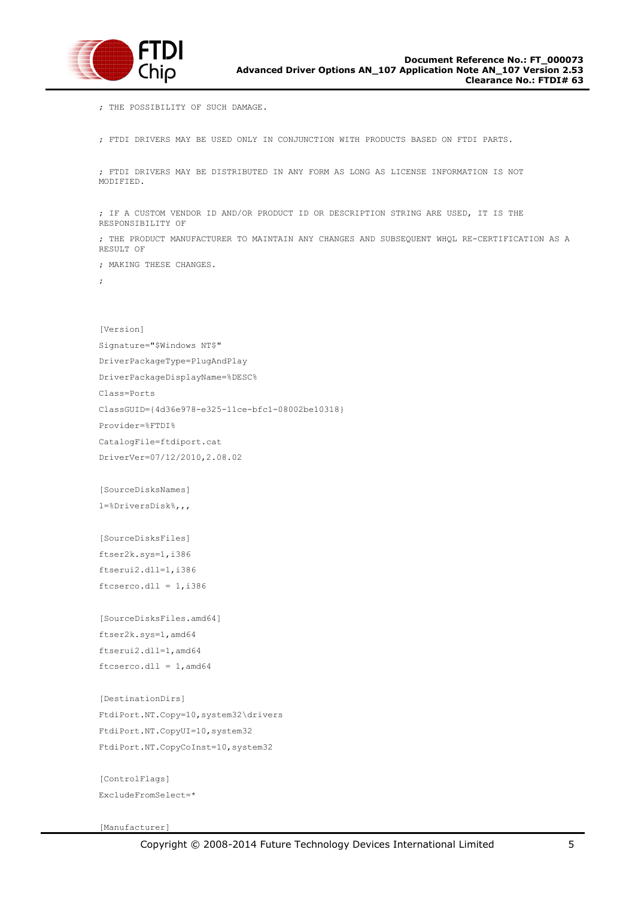

; THE POSSIBILITY OF SUCH DAMAGE.

; FTDI DRIVERS MAY BE USED ONLY IN CONJUNCTION WITH PRODUCTS BASED ON FTDI PARTS.

; FTDI DRIVERS MAY BE DISTRIBUTED IN ANY FORM AS LONG AS LICENSE INFORMATION IS NOT MODIFIED.

; IF A CUSTOM VENDOR ID AND/OR PRODUCT ID OR DESCRIPTION STRING ARE USED, IT IS THE RESPONSIBILITY OF

; THE PRODUCT MANUFACTURER TO MAINTAIN ANY CHANGES AND SUBSEQUENT WHQL RE-CERTIFICATION AS A RESULT OF

; MAKING THESE CHANGES.

;

[Version] Signature="\$Windows NT\$" DriverPackageType=PlugAndPlay DriverPackageDisplayName=%DESC% Class=Ports ClassGUID={4d36e978-e325-11ce-bfc1-08002be10318} Provider=%FTDI% CatalogFile=ftdiport.cat DriverVer=07/12/2010,2.08.02

[SourceDisksNames] 1=%DriversDisk%,,,

[SourceDisksFiles] ftser2k.sys=1,i386 ftserui2.dll=1,i386  $ftcserco.dl1 = 1, i386$ 

[SourceDisksFiles.amd64] ftser2k.sys=1,amd64 ftserui2.dll=1,amd64  $ftcserco.dl1 = 1$ , amd $64$ 

[DestinationDirs] FtdiPort.NT.Copy=10,system32\drivers FtdiPort.NT.CopyUI=10,system32 FtdiPort.NT.CopyCoInst=10,system32

[ControlFlags] ExcludeFromSelect=\*

[Manufacturer]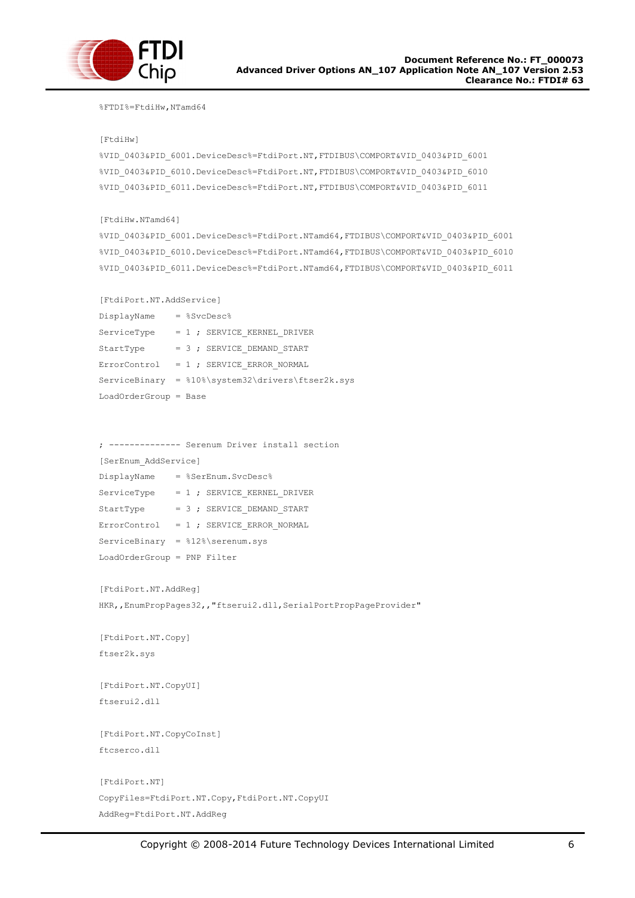

#### %FTDI%=FtdiHw,NTamd64

#### [FtdiHw]

```
%VID_0403&PID_6001.DeviceDesc%=FtdiPort.NT,FTDIBUS\COMPORT&VID_0403&PID_6001
%VID_0403&PID_6010.DeviceDesc%=FtdiPort.NT,FTDIBUS\COMPORT&VID_0403&PID_6010
%VID_0403&PID_6011.DeviceDesc%=FtdiPort.NT,FTDIBUS\COMPORT&VID_0403&PID_6011
```
#### [FtdiHw.NTamd64]

```
%VID_0403&PID_6001.DeviceDesc%=FtdiPort.NTamd64,FTDIBUS\COMPORT&VID_0403&PID_6001
%VID_0403&PID_6010.DeviceDesc%=FtdiPort.NTamd64,FTDIBUS\COMPORT&VID_0403&PID_6010
%VID_0403&PID_6011.DeviceDesc%=FtdiPort.NTamd64,FTDIBUS\COMPORT&VID_0403&PID_6011
```
#### [FtdiPort.NT.AddService]

| DisplayName             |  | $=$ $$SvcDesc$                                    |
|-------------------------|--|---------------------------------------------------|
| ServiceType             |  | $= 1$ ; SERVICE KERNEL DRIVER                     |
| StartType               |  | $= 3$ ; SERVICE DEMAND START                      |
|                         |  | $ErrorControl = 1$ ; SERVICE ERROR NORMAL         |
|                         |  | ServiceBinary = %10%\system32\drivers\ftser2k.sys |
| $LoadOrderGroup = Base$ |  |                                                   |

; -------------- Serenum Driver install section

[SerEnum\_AddService]

| DisplayName                        |  | = %SerEnum.SvcDesc%                       |
|------------------------------------|--|-------------------------------------------|
| ServiceType                        |  | $= 1$ ; SERVICE KERNEL DRIVER             |
| StartType                          |  | $= 3$ ; SERVICE DEMAND START              |
|                                    |  | $ErrorControl = 1$ ; SERVICE ERROR NORMAL |
| $ServiceBinary = 28 iserenum, sys$ |  |                                           |
| LoadOrderGroup = PNP Filter        |  |                                           |

[FtdiPort.NT.AddReg]

HKR,, EnumPropPages32,, "ftserui2.dll, SerialPortPropPageProvider"

[FtdiPort.NT.Copy] ftser2k.sys

[FtdiPort.NT.CopyUI] ftserui2.dll

[FtdiPort.NT.CopyCoInst] ftcserco.dll

```
[FtdiPort.NT]
CopyFiles=FtdiPort.NT.Copy,FtdiPort.NT.CopyUI
AddReg=FtdiPort.NT.AddReg
```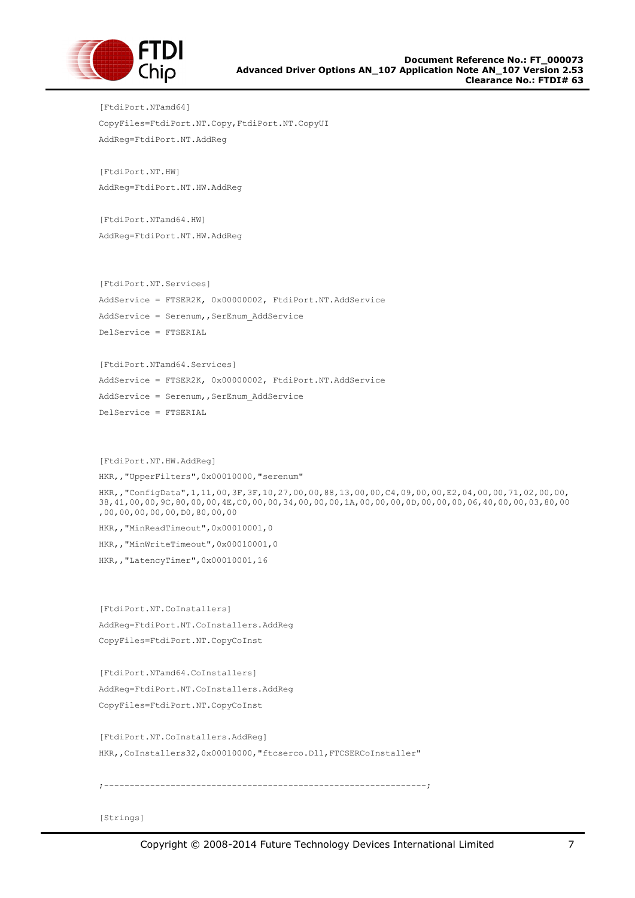

[FtdiPort.NTamd64] CopyFiles=FtdiPort.NT.Copy,FtdiPort.NT.CopyUI AddReg=FtdiPort.NT.AddReg

[FtdiPort.NT.HW] AddReg=FtdiPort.NT.HW.AddReg

[FtdiPort.NTamd64.HW] AddReg=FtdiPort.NT.HW.AddReg

[FtdiPort.NT.Services]

AddService = FTSER2K, 0x00000002, FtdiPort.NT.AddService AddService = Serenum, SerEnum AddService DelService = FTSERIAL

[FtdiPort.NTamd64.Services] AddService = FTSER2K, 0x00000002, FtdiPort.NT.AddService AddService = Serenum, SerEnum AddService DelService = FTSERIAL

[FtdiPort.NT.HW.AddReg] HKR,,"UpperFilters",0x00010000,"serenum" HKR,,"ConfigData",1,11,00,3F,3F,10,27,00,00,88,13,00,00,C4,09,00,00,E2,04,00,00,71,02,00,00, 38,41,00,00,9C,80,00,00,4E,C0,00,00,34,00,00,00,1A,00,00,00,0D,00,00,00,06,40,00,00,03,80,00 ,00,00,00,00,00,D0,80,00,00 HKR,, "MinReadTimeout", 0x00010001, 0 HKR,, "MinWriteTimeout", 0x00010001, 0 HKR,,"LatencyTimer",0x00010001,16

[FtdiPort.NT.CoInstallers] AddReg=FtdiPort.NT.CoInstallers.AddReg CopyFiles=FtdiPort.NT.CopyCoInst

[FtdiPort.NTamd64.CoInstallers] AddReg=FtdiPort.NT.CoInstallers.AddReg CopyFiles=FtdiPort.NT.CopyCoInst

[FtdiPort.NT.CoInstallers.AddReg] HKR,, CoInstallers32, 0x00010000, "ftcserco.Dll, FTCSERCoInstaller"

;---------------------------------------------------------------;

[Strings]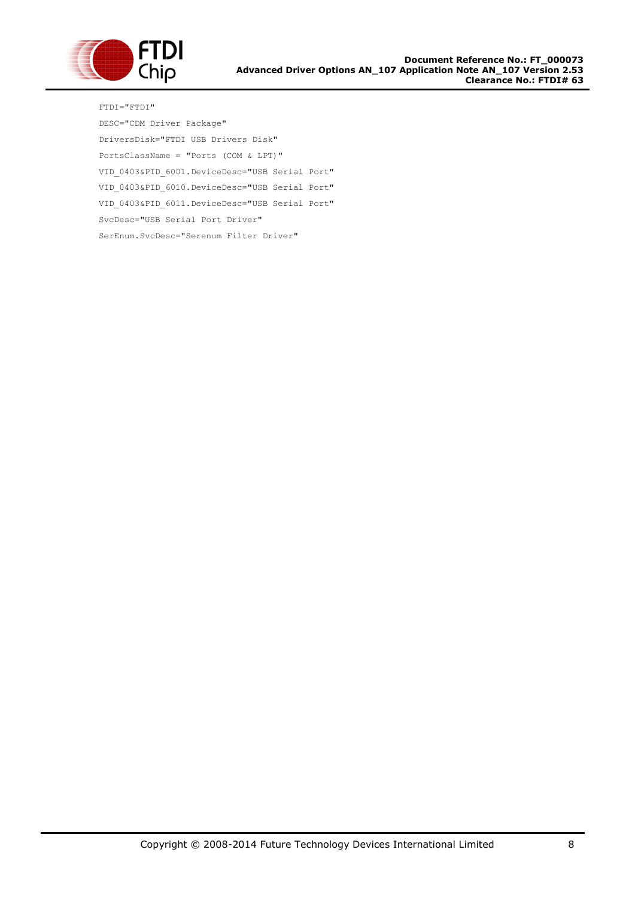

FTDI="FTDI" DESC="CDM Driver Package" DriversDisk="FTDI USB Drivers Disk" PortsClassName = "Ports (COM & LPT)" VID\_0403&PID\_6001.DeviceDesc="USB Serial Port" VID\_0403&PID\_6010.DeviceDesc="USB Serial Port" VID\_0403&PID\_6011.DeviceDesc="USB Serial Port" SvcDesc="USB Serial Port Driver" SerEnum.SvcDesc="Serenum Filter Driver"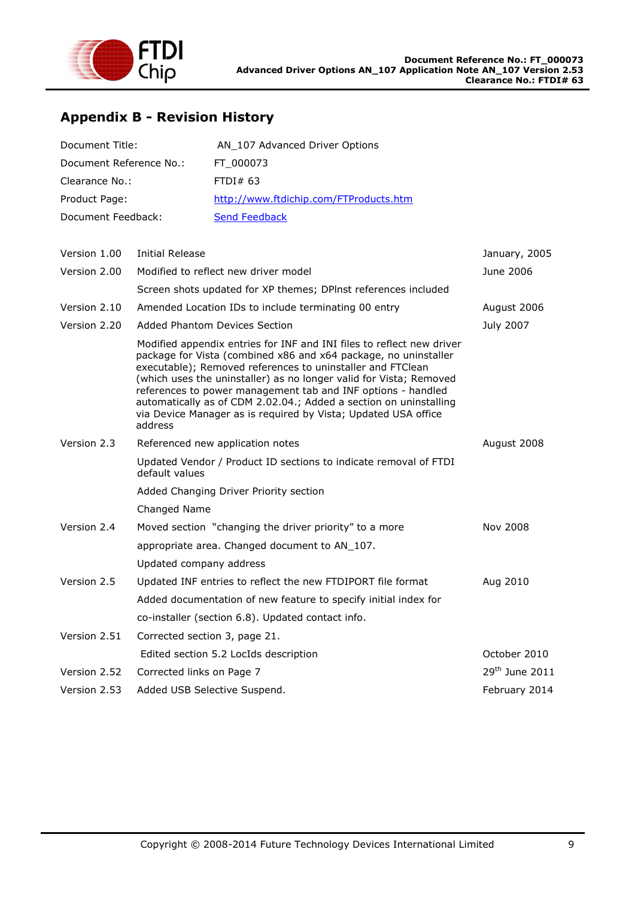

# <span id="page-42-0"></span>**Appendix B - Revision History**

| Document Title:         | AN_107 Advanced Driver Options         |
|-------------------------|----------------------------------------|
| Document Reference No.: | FT 000073                              |
| Clearance No.:          | FTDI#63                                |
| Product Page:           | http://www.ftdichip.com/FTProducts.htm |
| Document Feedback:      | <b>Send Feedback</b>                   |
|                         |                                        |
|                         |                                        |

| Version 1.00 | <b>Initial Release</b>                                                                                                                                                                                                                                                                                                                                                                                                                                                                         | January, 2005              |
|--------------|------------------------------------------------------------------------------------------------------------------------------------------------------------------------------------------------------------------------------------------------------------------------------------------------------------------------------------------------------------------------------------------------------------------------------------------------------------------------------------------------|----------------------------|
| Version 2.00 | Modified to reflect new driver model                                                                                                                                                                                                                                                                                                                                                                                                                                                           | June 2006                  |
|              | Screen shots updated for XP themes; DPInst references included                                                                                                                                                                                                                                                                                                                                                                                                                                 |                            |
| Version 2.10 | Amended Location IDs to include terminating 00 entry                                                                                                                                                                                                                                                                                                                                                                                                                                           | August 2006                |
| Version 2.20 | <b>Added Phantom Devices Section</b>                                                                                                                                                                                                                                                                                                                                                                                                                                                           | July 2007                  |
|              | Modified appendix entries for INF and INI files to reflect new driver<br>package for Vista (combined x86 and x64 package, no uninstaller<br>executable); Removed references to uninstaller and FTClean<br>(which uses the uninstaller) as no longer valid for Vista; Removed<br>references to power management tab and INF options - handled<br>automatically as of CDM 2.02.04.; Added a section on uninstalling<br>via Device Manager as is required by Vista; Updated USA office<br>address |                            |
| Version 2.3  | Referenced new application notes                                                                                                                                                                                                                                                                                                                                                                                                                                                               | August 2008                |
|              | Updated Vendor / Product ID sections to indicate removal of FTDI<br>default values                                                                                                                                                                                                                                                                                                                                                                                                             |                            |
|              | Added Changing Driver Priority section                                                                                                                                                                                                                                                                                                                                                                                                                                                         |                            |
|              | Changed Name                                                                                                                                                                                                                                                                                                                                                                                                                                                                                   |                            |
| Version 2.4  | Moved section "changing the driver priority" to a more                                                                                                                                                                                                                                                                                                                                                                                                                                         | Nov 2008                   |
|              | appropriate area. Changed document to AN_107.                                                                                                                                                                                                                                                                                                                                                                                                                                                  |                            |
|              | Updated company address                                                                                                                                                                                                                                                                                                                                                                                                                                                                        |                            |
| Version 2.5  | Updated INF entries to reflect the new FTDIPORT file format                                                                                                                                                                                                                                                                                                                                                                                                                                    | Aug 2010                   |
|              | Added documentation of new feature to specify initial index for                                                                                                                                                                                                                                                                                                                                                                                                                                |                            |
|              | co-installer (section 6.8). Updated contact info.                                                                                                                                                                                                                                                                                                                                                                                                                                              |                            |
| Version 2.51 | Corrected section 3, page 21.                                                                                                                                                                                                                                                                                                                                                                                                                                                                  |                            |
|              | Edited section 5.2 LocIds description                                                                                                                                                                                                                                                                                                                                                                                                                                                          | October 2010               |
| Version 2.52 | Corrected links on Page 7                                                                                                                                                                                                                                                                                                                                                                                                                                                                      | 29 <sup>th</sup> June 2011 |
| Version 2.53 | Added USB Selective Suspend.                                                                                                                                                                                                                                                                                                                                                                                                                                                                   | February 2014              |